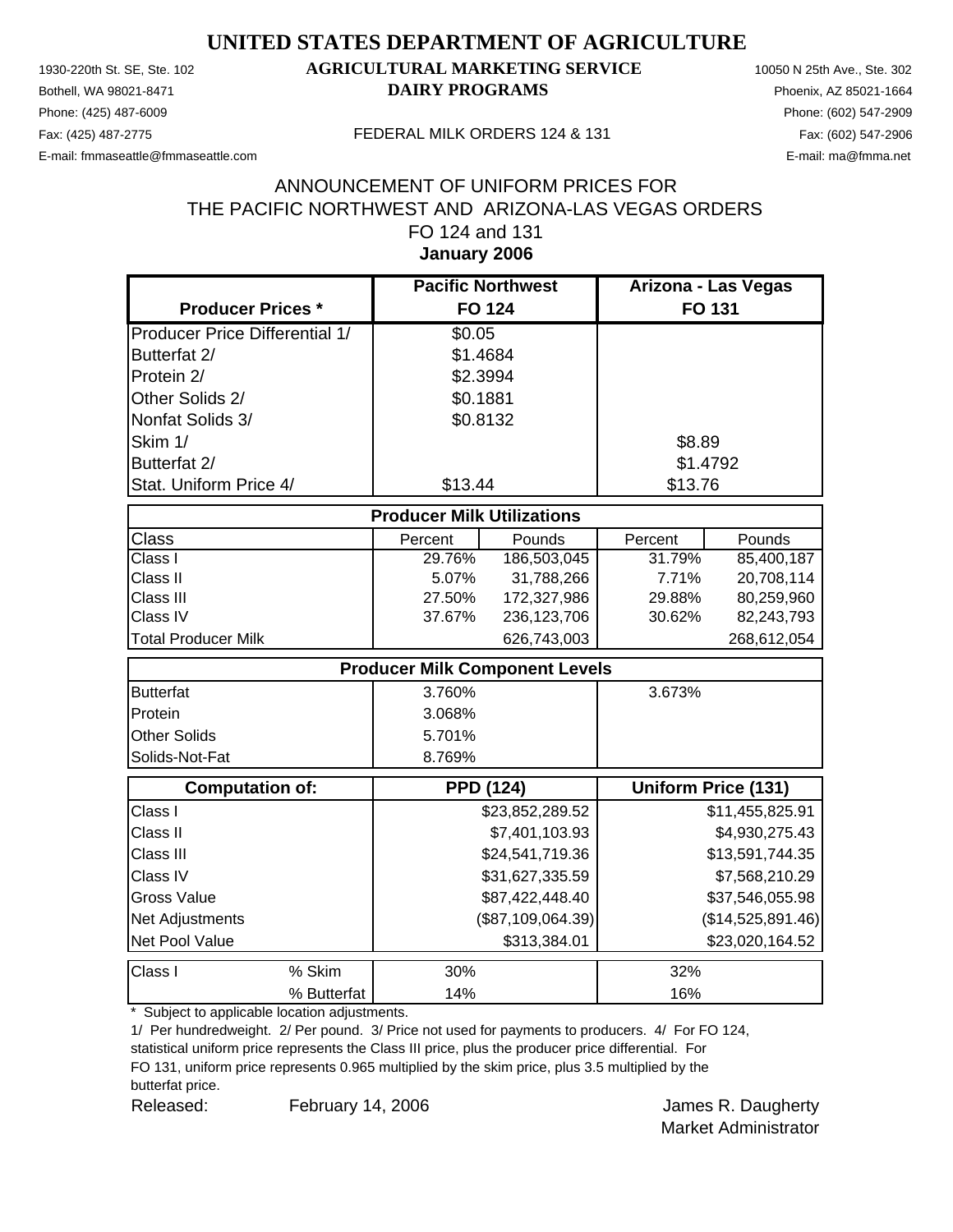Phone: (425) 487-6009 Phone: (602) 547-2909

#### 1930-220th St. SE, Ste. 102 **AGRICULTURAL MARKETING SERVICE** 10050 N 25th Ave., Ste. 302 Bothell, WA 98021-8471 **DAIRY PROGRAMS** Phoenix, AZ 85021-1664

E-mail: fmmaseattle@fmmaseattle.com E-mail: ma@fmma.net

#### Fax: (425) 487-2775 FEDERAL MILK ORDERS 124 & 131

#### **January 2006** ANNOUNCEMENT OF UNIFORM PRICES FOR THE PACIFIC NORTHWEST AND ARIZONA-LAS VEGAS ORDERS FO 124 and 131

|                                       | <b>Pacific Northwest</b>          |                                       | Arizona - Las Vegas |                            |
|---------------------------------------|-----------------------------------|---------------------------------------|---------------------|----------------------------|
| <b>Producer Prices *</b>              |                                   | <b>FO 124</b>                         | FO 131              |                            |
| <b>Producer Price Differential 1/</b> | \$0.05                            |                                       |                     |                            |
| Butterfat 2/                          | \$1.4684                          |                                       |                     |                            |
| Protein 2/                            | \$2.3994                          |                                       |                     |                            |
| Other Solids 2/                       | \$0.1881                          |                                       |                     |                            |
| Nonfat Solids 3/                      |                                   | \$0.8132                              |                     |                            |
| Skim 1/                               |                                   |                                       | \$8.89              |                            |
| Butterfat 2/                          |                                   |                                       | \$1.4792            |                            |
| Stat. Uniform Price 4/                | \$13.44                           |                                       | \$13.76             |                            |
|                                       | <b>Producer Milk Utilizations</b> |                                       |                     |                            |
| Class                                 | Percent                           | Pounds                                | Percent             | Pounds                     |
| Class I                               | 29.76%                            | 186,503,045                           | 31.79%              | 85,400,187                 |
| Class II                              | 5.07%                             | 31,788,266                            | 7.71%               | 20,708,114                 |
| Class III                             | 27.50%                            | 172,327,986                           | 29.88%              | 80,259,960                 |
| Class IV                              | 37.67%                            | 236,123,706                           | 30.62%              | 82,243,793                 |
| <b>Total Producer Milk</b>            |                                   | 626,743,003                           |                     | 268,612,054                |
|                                       |                                   | <b>Producer Milk Component Levels</b> |                     |                            |
| <b>Butterfat</b>                      | 3.760%                            |                                       | 3.673%              |                            |
| Protein                               | 3.068%                            |                                       |                     |                            |
| Other Solids                          | 5.701%                            |                                       |                     |                            |
| Solids-Not-Fat                        | 8.769%                            |                                       |                     |                            |
| <b>Computation of:</b>                |                                   | <b>PPD (124)</b>                      |                     | <b>Uniform Price (131)</b> |
| Class I                               |                                   | \$23,852,289.52                       |                     | \$11,455,825.91            |
| Class II                              |                                   | \$7,401,103.93                        |                     | \$4,930,275.43             |
| Class III                             |                                   | \$24,541,719.36                       |                     | \$13,591,744.35            |
| Class IV                              |                                   | \$31,627,335.59                       |                     | \$7,568,210.29             |
| <b>Gross Value</b>                    |                                   | \$87,422,448.40                       |                     | \$37,546,055.98            |
| Net Adjustments                       |                                   | (\$87,109,064.39)                     |                     | (\$14,525,891.46)          |
| Net Pool Value                        |                                   | \$313,384.01                          |                     | \$23,020,164.52            |
| Class I<br>% Skim                     | 30%                               |                                       | 32%                 |                            |
| % Butterfat                           | 14%                               |                                       | 16%                 |                            |

\* Subject to applicable location adjustments.

1/ Per hundredweight. 2/ Per pound. 3/ Price not used for payments to producers. 4/ For FO 124,

statistical uniform price represents the Class III price, plus the producer price differential. For FO 131, uniform price represents 0.965 multiplied by the skim price, plus 3.5 multiplied by the butterfat price.

Released: February 14, 2006 Channel Released: All February 14, 2006 February 14, 2006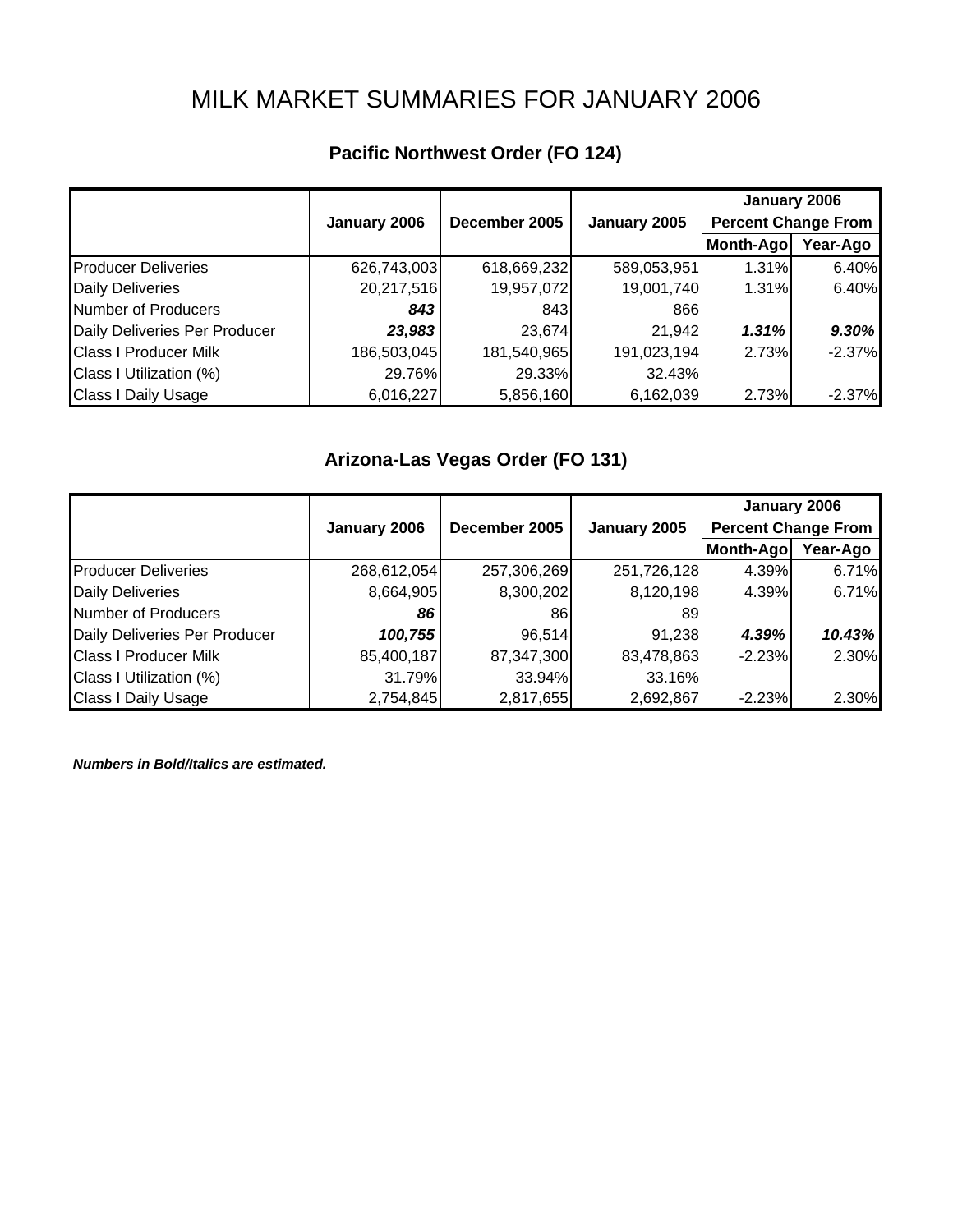# MILK MARKET SUMMARIES FOR JANUARY 2006

|                               |              |               |              | January 2006               |          |
|-------------------------------|--------------|---------------|--------------|----------------------------|----------|
|                               | January 2006 | December 2005 | January 2005 | <b>Percent Change From</b> |          |
|                               |              |               |              | Month-Ago                  | Year-Ago |
| <b>Producer Deliveries</b>    | 626,743,003  | 618,669,232   | 589,053,951  | 1.31%                      | 6.40%    |
| <b>Daily Deliveries</b>       | 20,217,516   | 19,957,072    | 19,001,740   | 1.31%                      | 6.40%    |
| <b>Number of Producers</b>    | 843          | 843           | 866          |                            |          |
| Daily Deliveries Per Producer | 23,983       | 23,674        | 21,942       | 1.31%                      | 9.30%    |
| <b>Class I Producer Milk</b>  | 186,503,045  | 181,540,965   | 191,023,194  | 2.73%                      | $-2.37%$ |
| Class I Utilization (%)       | 29.76%       | 29.33%        | 32.43%       |                            |          |
| <b>Class I Daily Usage</b>    | 6,016,227    | 5,856,160     | 6,162,039    | 2.73%                      | $-2.37%$ |

## **Pacific Northwest Order (FO 124)**

## **Arizona-Las Vegas Order (FO 131)**

|                               |              |               |              | January 2006               |          |
|-------------------------------|--------------|---------------|--------------|----------------------------|----------|
|                               | January 2006 | December 2005 | January 2005 | <b>Percent Change From</b> |          |
|                               |              |               |              | Month-Ago                  | Year-Ago |
| <b>Producer Deliveries</b>    | 268,612,054  | 257,306,269   | 251,726,128  | 4.39%                      | 6.71%    |
| <b>Daily Deliveries</b>       | 8,664,905    | 8,300,202     | 8,120,198    | 4.39%                      | 6.71%    |
| <b>Number of Producers</b>    | 86           | 861           | 89           |                            |          |
| Daily Deliveries Per Producer | 100,755      | 96,514        | 91,238       | 4.39%                      | 10.43%   |
| <b>Class I Producer Milk</b>  | 85,400,187   | 87,347,300    | 83,478,863   | $-2.23%$                   | 2.30%    |
| Class I Utilization (%)       | 31.79%       | 33.94%        | 33.16%       |                            |          |
| <b>Class I Daily Usage</b>    | 2,754,845    | 2,817,655     | 2,692,867    | $-2.23%$                   | 2.30%    |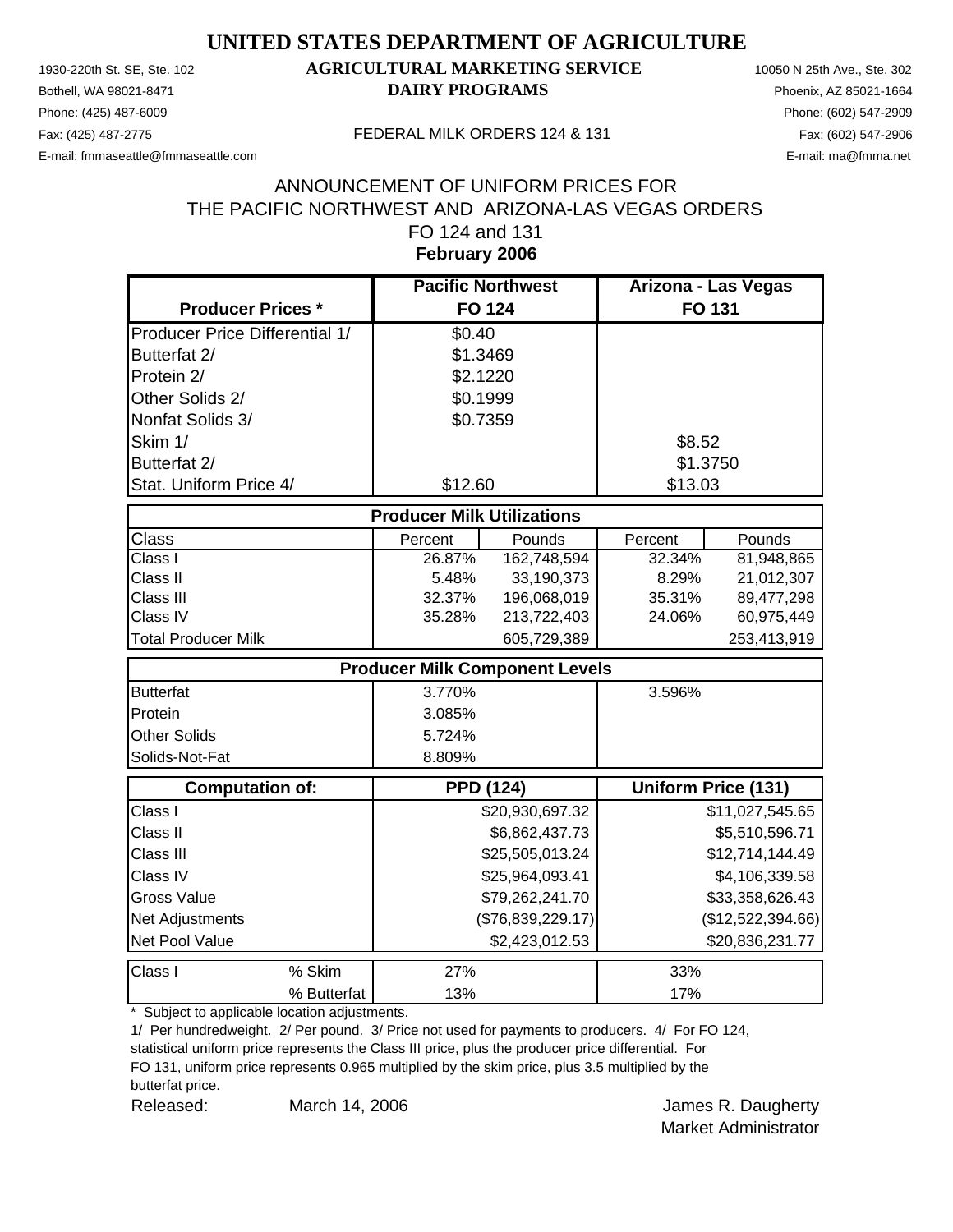Phone: (425) 487-6009 Phone: (602) 547-2909

#### 1930-220th St. SE, Ste. 102 **AGRICULTURAL MARKETING SERVICE** 10050 N 25th Ave., Ste. 302 Bothell, WA 98021-8471 **DAIRY PROGRAMS** Phoenix, AZ 85021-1664

E-mail: fmmaseattle@fmmaseattle.com E-mail: ma@fmma.net

Fax: (425) 487-2775 FEDERAL MILK ORDERS 124 & 131

#### **February 2006** ANNOUNCEMENT OF UNIFORM PRICES FOR THE PACIFIC NORTHWEST AND ARIZONA-LAS VEGAS ORDERS FO 124 and 131

|                                       | <b>Pacific Northwest</b> |                                       | Arizona - Las Vegas |                     |  |  |
|---------------------------------------|--------------------------|---------------------------------------|---------------------|---------------------|--|--|
| <b>Producer Prices *</b>              |                          | <b>FO 124</b>                         |                     | FO 131              |  |  |
| <b>Producer Price Differential 1/</b> | \$0.40                   |                                       |                     |                     |  |  |
| Butterfat 2/                          |                          | \$1.3469                              |                     |                     |  |  |
| Protein 2/                            |                          | \$2.1220                              |                     |                     |  |  |
| Other Solids 2/                       |                          | \$0.1999                              |                     |                     |  |  |
| Nonfat Solids 3/                      |                          | \$0.7359                              |                     |                     |  |  |
| Skim 1/                               |                          |                                       | \$8.52              |                     |  |  |
| Butterfat 2/                          |                          |                                       |                     | \$1.3750            |  |  |
| Stat. Uniform Price 4/                | \$12.60                  |                                       | \$13.03             |                     |  |  |
| <b>Producer Milk Utilizations</b>     |                          |                                       |                     |                     |  |  |
| Class                                 | Percent                  | Pounds                                | Percent             | Pounds              |  |  |
| Class I                               | 26.87%                   | 162,748,594                           | 32.34%              | 81,948,865          |  |  |
| Class II                              | 5.48%                    | 33,190,373                            | 8.29%               | 21,012,307          |  |  |
| Class III                             | 32.37%                   | 196,068,019                           | 35.31%              | 89,477,298          |  |  |
| Class IV                              | 35.28%                   | 213,722,403                           | 24.06%              | 60,975,449          |  |  |
| <b>Total Producer Milk</b>            |                          | 605,729,389                           |                     | 253,413,919         |  |  |
|                                       |                          | <b>Producer Milk Component Levels</b> |                     |                     |  |  |
| <b>Butterfat</b>                      | 3.770%                   |                                       | 3.596%              |                     |  |  |
| Protein                               | 3.085%                   |                                       |                     |                     |  |  |
| Other Solids                          | 5.724%                   |                                       |                     |                     |  |  |
| Solids-Not-Fat                        | 8.809%                   |                                       |                     |                     |  |  |
| <b>Computation of:</b>                |                          | <b>PPD (124)</b>                      |                     | Uniform Price (131) |  |  |
| Class I                               |                          | \$20,930,697.32                       |                     | \$11,027,545.65     |  |  |
| Class II                              |                          | \$6,862,437.73                        |                     | \$5,510,596.71      |  |  |
| Class III                             |                          | \$25,505,013.24                       |                     | \$12,714,144.49     |  |  |
| Class IV                              |                          | \$25,964,093.41                       |                     | \$4,106,339.58      |  |  |
| Gross Value                           |                          | \$79,262,241.70                       |                     | \$33,358,626.43     |  |  |
| Net Adjustments                       |                          | (\$76,839,229.17)                     |                     | (\$12,522,394.66)   |  |  |
| Net Pool Value                        |                          | \$2,423,012.53                        |                     | \$20,836,231.77     |  |  |
| % Skim<br>Class I                     | 27%                      |                                       | 33%                 |                     |  |  |
| % Butterfat                           | 13%                      |                                       | 17%                 |                     |  |  |

\* Subject to applicable location adjustments.

1/ Per hundredweight. 2/ Per pound. 3/ Price not used for payments to producers. 4/ For FO 124,

statistical uniform price represents the Class III price, plus the producer price differential. For FO 131, uniform price represents 0.965 multiplied by the skim price, plus 3.5 multiplied by the butterfat price.

Released: March 14, 2006 **Container March 14, 2006** Contains a September of March 14, 2006 March 14, 2006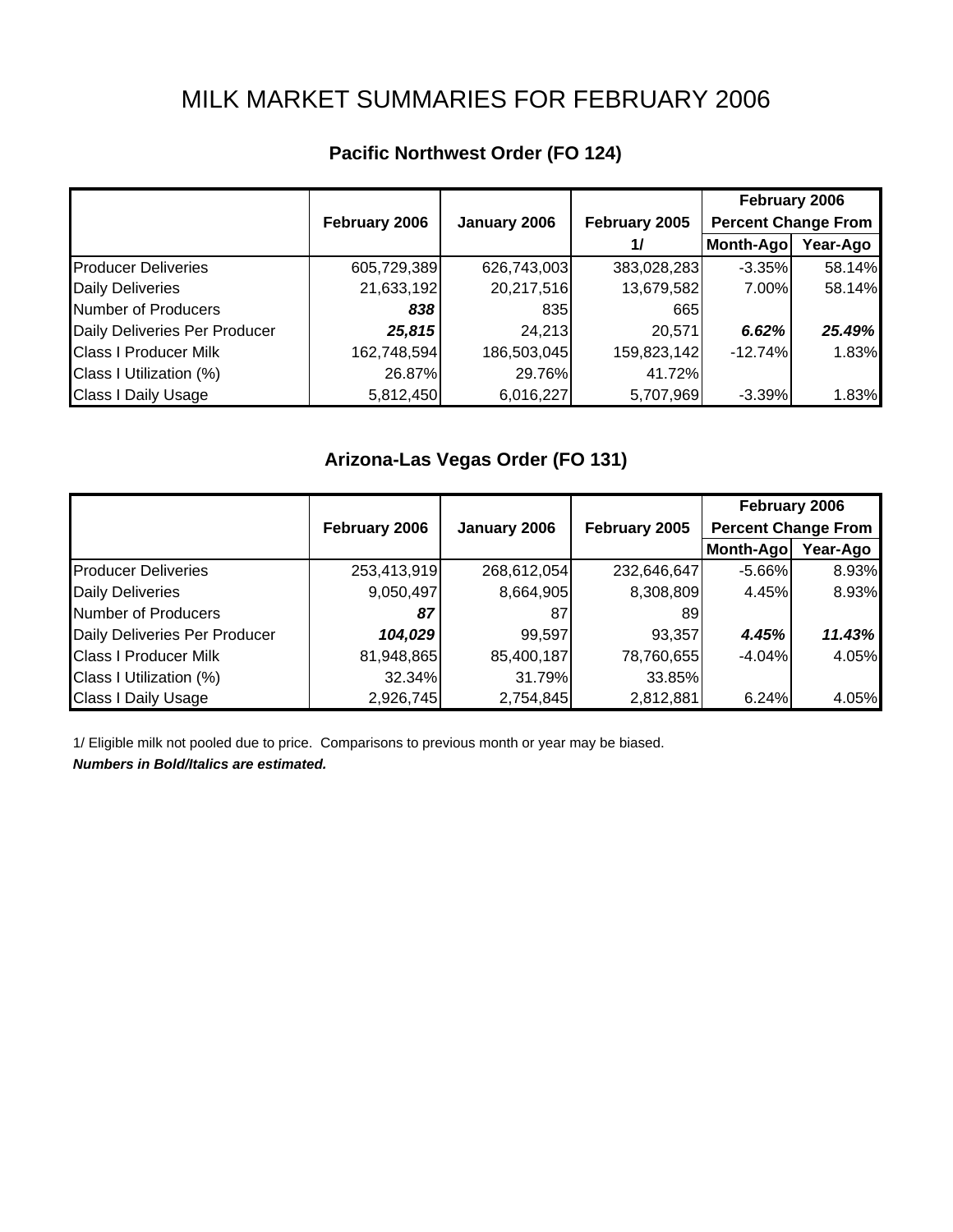# MILK MARKET SUMMARIES FOR FEBRUARY 2006

|                               |               |              |               | February 2006              |          |
|-------------------------------|---------------|--------------|---------------|----------------------------|----------|
|                               | February 2006 | January 2006 | February 2005 | <b>Percent Change From</b> |          |
|                               |               |              | 1/            | Month-Ago                  | Year-Ago |
| <b>Producer Deliveries</b>    | 605,729,389   | 626,743,003  | 383,028,283   | $-3.35%$                   | 58.14%   |
| <b>Daily Deliveries</b>       | 21,633,192    | 20,217,516   | 13,679,582    | 7.00%                      | 58.14%   |
| Number of Producers           | 838           | 835          | 665           |                            |          |
| Daily Deliveries Per Producer | 25,815        | 24,213       | 20,571        | 6.62%                      | 25.49%   |
| <b>Class I Producer Milk</b>  | 162,748,594   | 186,503,045  | 159,823,142   | $-12.74%$                  | 1.83%    |
| Class I Utilization (%)       | 26.87%        | 29.76%       | 41.72%        |                            |          |
| <b>Class I Daily Usage</b>    | 5,812,450     | 6,016,227    | 5,707,969     | $-3.39%$                   | 1.83%    |

## **Pacific Northwest Order (FO 124)**

#### **Arizona-Las Vegas Order (FO 131)**

|                               |               |              |               | February 2006              |          |
|-------------------------------|---------------|--------------|---------------|----------------------------|----------|
|                               | February 2006 | January 2006 | February 2005 | <b>Percent Change From</b> |          |
|                               |               |              |               | Month-Ago                  | Year-Ago |
| <b>Producer Deliveries</b>    | 253,413,919   | 268,612,054  | 232,646,647   | $-5.66\%$                  | 8.93%    |
| <b>Daily Deliveries</b>       | 9,050,497     | 8,664,905    | 8,308,809     | 4.45%                      | 8.93%    |
| Number of Producers           | 87            | 87           | 891           |                            |          |
| Daily Deliveries Per Producer | 104,029       | 99,597       | 93,357        | 4.45%                      | 11.43%   |
| <b>Class I Producer Milk</b>  | 81,948,865    | 85,400,187   | 78,760,655    | $-4.04%$                   | 4.05%    |
| Class I Utilization (%)       | 32.34%        | 31.79%       | 33.85%        |                            |          |
| <b>Class I Daily Usage</b>    | 2,926,745     | 2,754,845    | 2,812,881     | 6.24%                      | 4.05%    |

1/ Eligible milk not pooled due to price. Comparisons to previous month or year may be biased.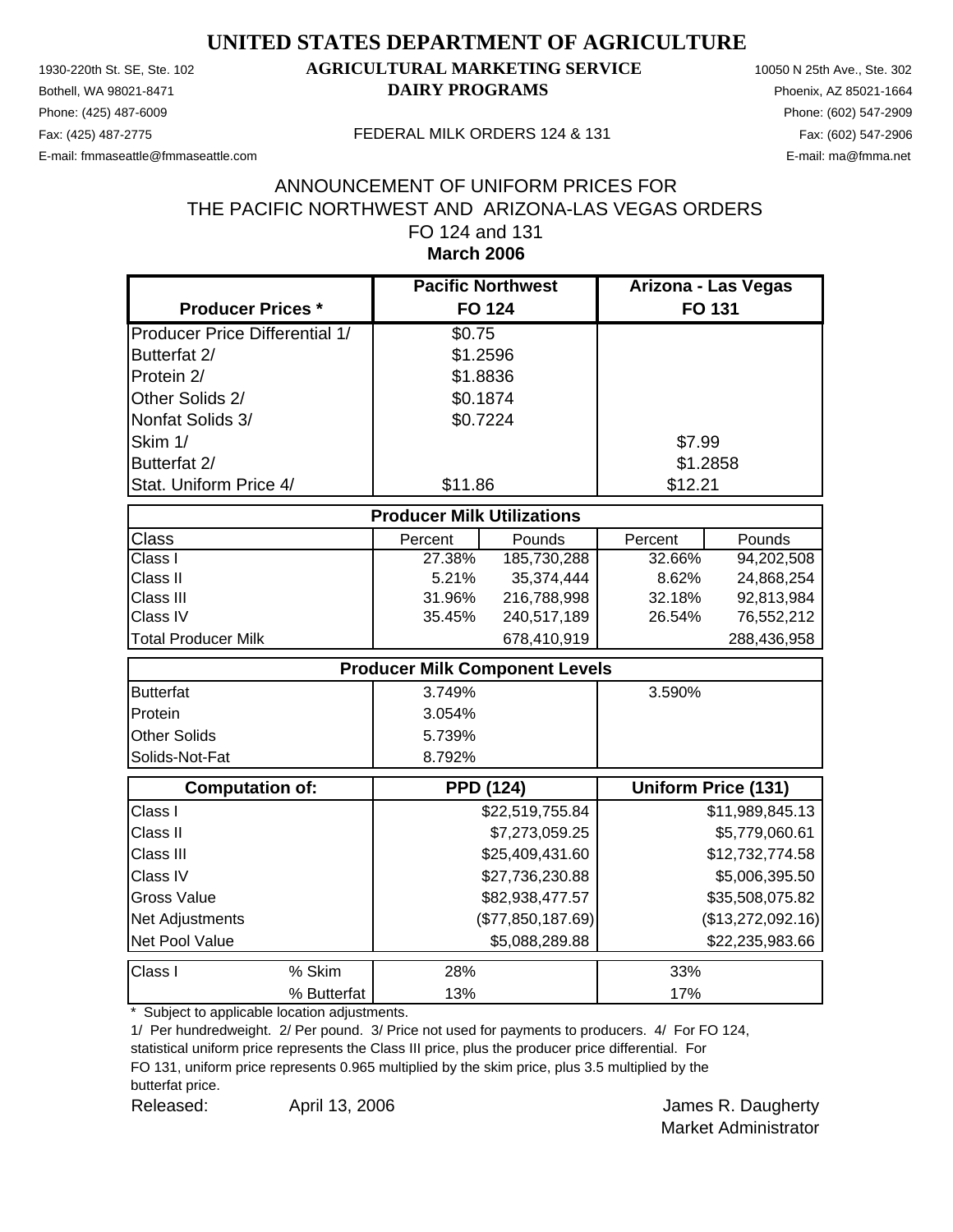Phone: (425) 487-6009 Phone: (602) 547-2909

#### 1930-220th St. SE, Ste. 102 **AGRICULTURAL MARKETING SERVICE** 10050 N 25th Ave., Ste. 302 Bothell, WA 98021-8471 **DAIRY PROGRAMS** Phoenix, AZ 85021-1664

E-mail: fmmaseattle@fmmaseattle.com E-mail: ma@fmma.net

#### Fax: (425) 487-2775 FEDERAL MILK ORDERS 124 & 131

#### **March 2006** ANNOUNCEMENT OF UNIFORM PRICES FOR THE PACIFIC NORTHWEST AND ARIZONA-LAS VEGAS ORDERS FO 124 and 131

|                                       | <b>Pacific Northwest</b> |                                       | Arizona - Las Vegas |                            |  |  |  |
|---------------------------------------|--------------------------|---------------------------------------|---------------------|----------------------------|--|--|--|
| <b>Producer Prices *</b>              |                          | <b>FO 124</b>                         | FO 131              |                            |  |  |  |
| <b>Producer Price Differential 1/</b> | \$0.75                   |                                       |                     |                            |  |  |  |
| Butterfat 2/                          |                          | \$1.2596                              |                     |                            |  |  |  |
| Protein 2/                            |                          | \$1.8836                              |                     |                            |  |  |  |
| Other Solids 2/                       |                          | \$0.1874                              |                     |                            |  |  |  |
| Nonfat Solids 3/                      |                          | \$0.7224                              |                     |                            |  |  |  |
| Skim 1/                               |                          |                                       | \$7.99              |                            |  |  |  |
| Butterfat 2/                          |                          |                                       | \$1.2858            |                            |  |  |  |
| Stat. Uniform Price 4/                | \$11.86                  |                                       | \$12.21             |                            |  |  |  |
| <b>Producer Milk Utilizations</b>     |                          |                                       |                     |                            |  |  |  |
| <b>Class</b>                          | Percent                  | Pounds                                | Percent             | Pounds                     |  |  |  |
| Class I                               | 27.38%                   | 185,730,288                           | 32.66%              | 94,202,508                 |  |  |  |
| Class II                              | 5.21%                    | 35,374,444                            | 8.62%               | 24,868,254                 |  |  |  |
| Class III                             | 31.96%                   | 216,788,998                           | 32.18%              | 92,813,984                 |  |  |  |
| Class IV                              | 35.45%                   | 240,517,189                           | 26.54%              | 76,552,212                 |  |  |  |
| <b>Total Producer Milk</b>            |                          | 678,410,919                           |                     | 288,436,958                |  |  |  |
|                                       |                          | <b>Producer Milk Component Levels</b> |                     |                            |  |  |  |
| <b>Butterfat</b>                      | 3.749%                   |                                       | 3.590%              |                            |  |  |  |
| Protein                               | 3.054%                   |                                       |                     |                            |  |  |  |
| <b>Other Solids</b>                   | 5.739%                   |                                       |                     |                            |  |  |  |
| Solids-Not-Fat                        | 8.792%                   |                                       |                     |                            |  |  |  |
| <b>Computation of:</b>                |                          | <b>PPD (124)</b>                      |                     | <b>Uniform Price (131)</b> |  |  |  |
| Class I                               |                          | \$22,519,755.84                       |                     | \$11,989,845.13            |  |  |  |
| Class II                              |                          | \$7,273,059.25                        |                     | \$5,779,060.61             |  |  |  |
| Class III                             |                          | \$25,409,431.60                       |                     | \$12,732,774.58            |  |  |  |
| Class IV                              |                          | \$27,736,230.88                       |                     | \$5,006,395.50             |  |  |  |
| <b>Gross Value</b>                    |                          | \$82,938,477.57                       |                     | \$35,508,075.82            |  |  |  |
| Net Adjustments                       |                          | (\$77,850,187.69)                     |                     | (\$13,272,092.16)          |  |  |  |
| Net Pool Value                        |                          | \$5,088,289.88                        |                     | \$22,235,983.66            |  |  |  |
| Class I<br>% Skim                     | 28%                      |                                       | 33%                 |                            |  |  |  |
| % Butterfat                           | 13%                      |                                       | 17%                 |                            |  |  |  |

\* Subject to applicable location adjustments.

1/ Per hundredweight. 2/ Per pound. 3/ Price not used for payments to producers. 4/ For FO 124,

statistical uniform price represents the Class III price, plus the producer price differential. For FO 131, uniform price represents 0.965 multiplied by the skim price, plus 3.5 multiplied by the

butterfat price.

Released: April 13, 2006 Channel April 13, 2006 Channel Mannes R. Daugherty April 13, 2006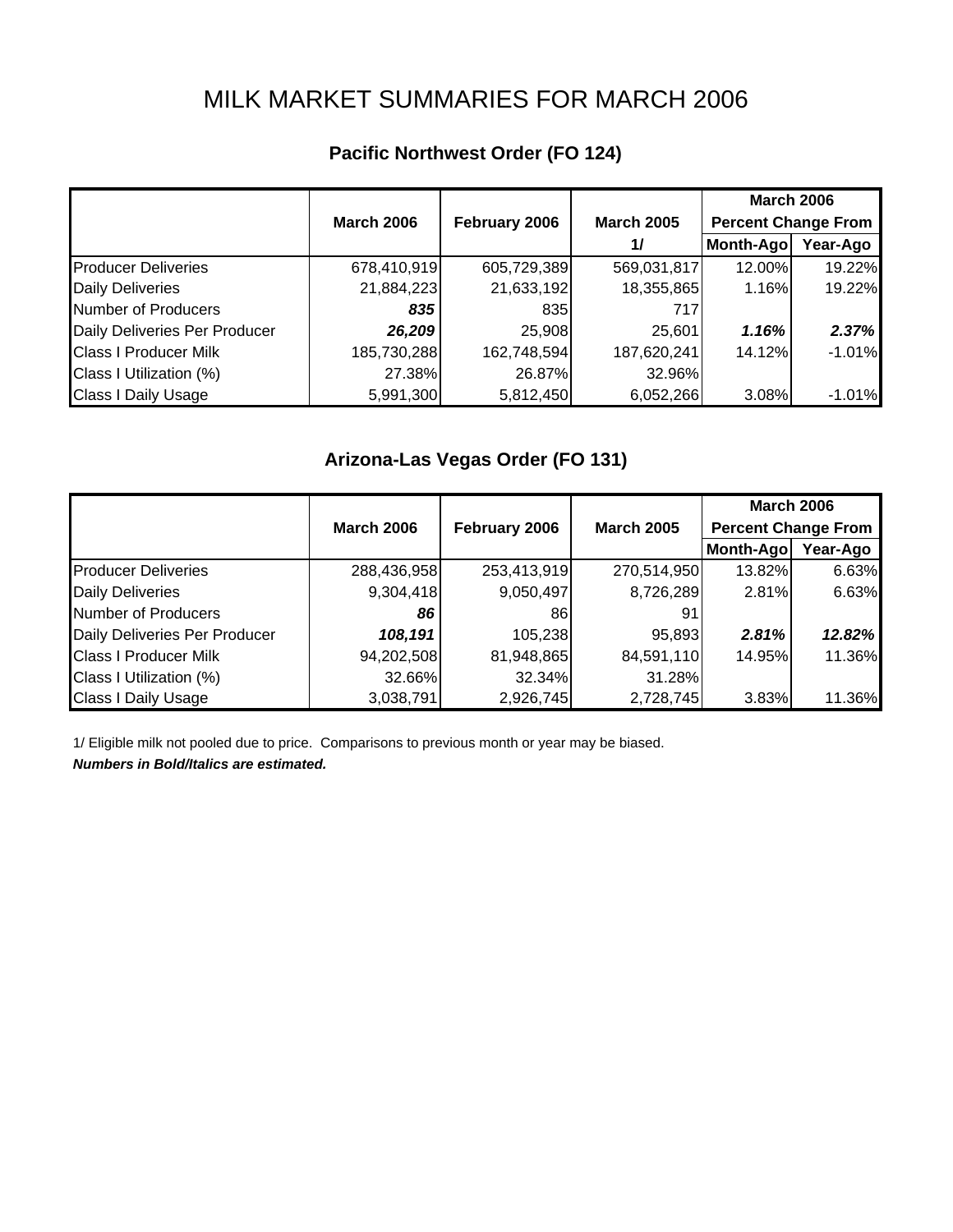# MILK MARKET SUMMARIES FOR MARCH 2006

|  | Pacific Northwest Order (FO 124) |  |  |
|--|----------------------------------|--|--|
|--|----------------------------------|--|--|

|                               |                   |               |                   | <b>March 2006</b>          |          |
|-------------------------------|-------------------|---------------|-------------------|----------------------------|----------|
|                               | <b>March 2006</b> | February 2006 | <b>March 2005</b> | <b>Percent Change From</b> |          |
|                               |                   |               | $\frac{1}{2}$     | Month-Ago                  | Year-Ago |
| <b>Producer Deliveries</b>    | 678,410,919       | 605,729,389   | 569,031,817       | 12.00%                     | 19.22%   |
| <b>Daily Deliveries</b>       | 21,884,223        | 21,633,192    | 18,355,865        | 1.16%                      | 19.22%   |
| Number of Producers           | 835               | 835           | 717               |                            |          |
| Daily Deliveries Per Producer | 26,209            | 25,908        | 25,601            | 1.16%                      | 2.37%    |
| <b>Class I Producer Milk</b>  | 185,730,288       | 162,748,594   | 187,620,241       | 14.12%                     | $-1.01%$ |
| Class I Utilization (%)       | 27.38%            | 26.87%        | 32.96%            |                            |          |
| <b>Class I Daily Usage</b>    | 5,991,300         | 5,812,450     | 6,052,266         | 3.08%                      | $-1.01%$ |

## **Arizona-Las Vegas Order (FO 131)**

|                               |                   |               |                   | <b>March 2006</b>          |          |
|-------------------------------|-------------------|---------------|-------------------|----------------------------|----------|
|                               | <b>March 2006</b> | February 2006 | <b>March 2005</b> | <b>Percent Change From</b> |          |
|                               |                   |               |                   | Month-Ago                  | Year-Ago |
| <b>Producer Deliveries</b>    | 288,436,958       | 253,413,919   | 270,514,950       | 13.82%                     | 6.63%    |
| <b>Daily Deliveries</b>       | 9,304,418         | 9,050,497     | 8,726,289         | 2.81%                      | 6.63%    |
| Number of Producers           | 86                | 861           | 91                |                            |          |
| Daily Deliveries Per Producer | 108,191           | 105,238       | 95,893            | 2.81%                      | 12.82%   |
| <b>Class I Producer Milk</b>  | 94,202,508        | 81,948,865    | 84,591,110        | 14.95%                     | 11.36%   |
| Class I Utilization (%)       | 32.66%            | 32.34%        | 31.28%            |                            |          |
| <b>Class I Daily Usage</b>    | 3,038,791         | 2,926,745     | 2,728,745         | 3.83%                      | 11.36%   |

1/ Eligible milk not pooled due to price. Comparisons to previous month or year may be biased.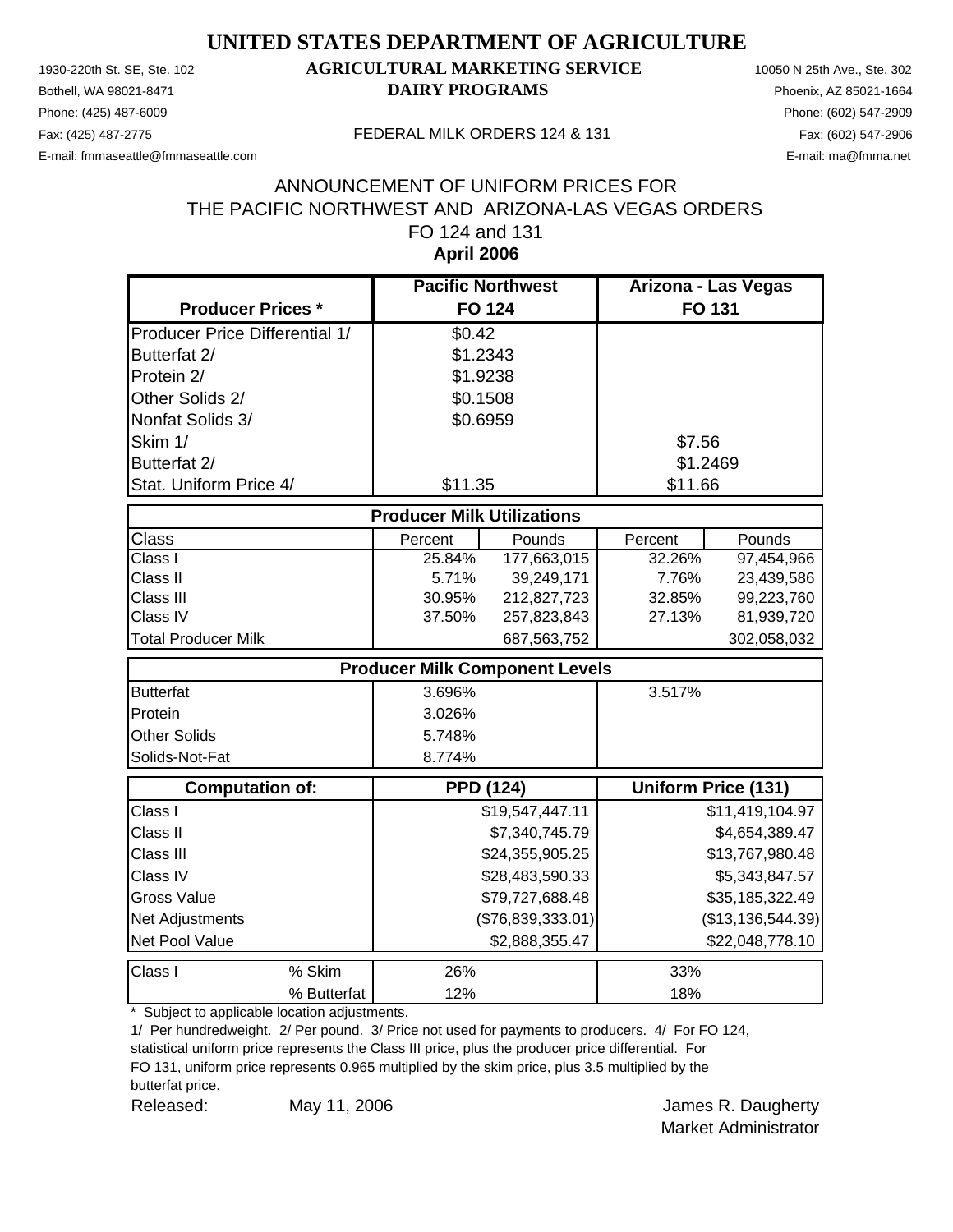Phone: (425) 487-6009 Phone: (602) 547-2909

#### 1930-220th St. SE, Ste. 102 **AGRICULTURAL MARKETING SERVICE** 10050 N 25th Ave., Ste. 302 Bothell, WA 98021-8471 **DAIRY PROGRAMS** Phoenix, AZ 85021-1664

E-mail: fmmaseattle@fmmaseattle.com E-mail: ma@fmma.net

#### Fax: (425) 487-2775 FEDERAL MILK ORDERS 124 & 131

#### **April 2006** ANNOUNCEMENT OF UNIFORM PRICES FOR THE PACIFIC NORTHWEST AND ARIZONA-LAS VEGAS ORDERS FO 124 and 131

|                                       | <b>Pacific Northwest</b>          |                                       | Arizona - Las Vegas |                     |
|---------------------------------------|-----------------------------------|---------------------------------------|---------------------|---------------------|
| <b>Producer Prices *</b>              |                                   | <b>FO 124</b>                         | <b>FO 131</b>       |                     |
| <b>Producer Price Differential 1/</b> | \$0.42                            |                                       |                     |                     |
| Butterfat 2/                          |                                   | \$1.2343                              |                     |                     |
| Protein 2/                            |                                   | \$1.9238                              |                     |                     |
| Other Solids 2/                       |                                   | \$0.1508                              |                     |                     |
| Nonfat Solids 3/                      |                                   | \$0.6959                              |                     |                     |
| Skim 1/                               |                                   |                                       | \$7.56              |                     |
| Butterfat 2/                          |                                   |                                       |                     | \$1.2469            |
| Stat. Uniform Price 4/                | \$11.35                           |                                       | \$11.66             |                     |
|                                       | <b>Producer Milk Utilizations</b> |                                       |                     |                     |
| Class                                 | Percent                           | Pounds                                | Percent             | Pounds              |
| Class I                               | 25.84%                            | 177,663,015                           | 32.26%              | 97,454,966          |
| Class II                              | 5.71%                             | 39,249,171                            | 7.76%               | 23,439,586          |
| Class III                             | 30.95%                            | 212,827,723                           | 32.85%              | 99,223,760          |
| Class IV                              | 37.50%                            | 257,823,843                           | 27.13%              | 81,939,720          |
| <b>Total Producer Milk</b>            |                                   | 687,563,752                           |                     | 302,058,032         |
|                                       |                                   | <b>Producer Milk Component Levels</b> |                     |                     |
| <b>Butterfat</b>                      | 3.696%                            |                                       | 3.517%              |                     |
| Protein                               | 3.026%                            |                                       |                     |                     |
| <b>Other Solids</b>                   | 5.748%                            |                                       |                     |                     |
| Solids-Not-Fat                        | 8.774%                            |                                       |                     |                     |
| <b>Computation of:</b>                |                                   | <b>PPD (124)</b>                      |                     | Uniform Price (131) |
| Class I                               |                                   | \$19,547,447.11                       |                     | \$11,419,104.97     |
| Class II                              |                                   | \$7,340,745.79                        |                     | \$4,654,389.47      |
| Class III                             |                                   | \$24,355,905.25                       |                     | \$13,767,980.48     |
| Class IV                              |                                   | \$28,483,590.33                       |                     | \$5,343,847.57      |
| <b>Gross Value</b>                    |                                   | \$79,727,688.48                       |                     | \$35,185,322.49     |
| Net Adjustments                       |                                   | (\$76,839,333.01)                     |                     | (\$13,136,544.39)   |
| Net Pool Value                        |                                   | \$2,888,355.47                        |                     | \$22,048,778.10     |
| Class I<br>% Skim                     | 26%                               |                                       | 33%                 |                     |
| % Butterfat                           | 12%                               |                                       | 18%                 |                     |

\* Subject to applicable location adjustments.

1/ Per hundredweight. 2/ Per pound. 3/ Price not used for payments to producers. 4/ For FO 124,

statistical uniform price represents the Class III price, plus the producer price differential. For FO 131, uniform price represents 0.965 multiplied by the skim price, plus 3.5 multiplied by the butterfat price.

Released: May 11, 2006 Channel Manager Manager Manager Manager Manager Manager Manager Manager Manager Manager

May 11, 2006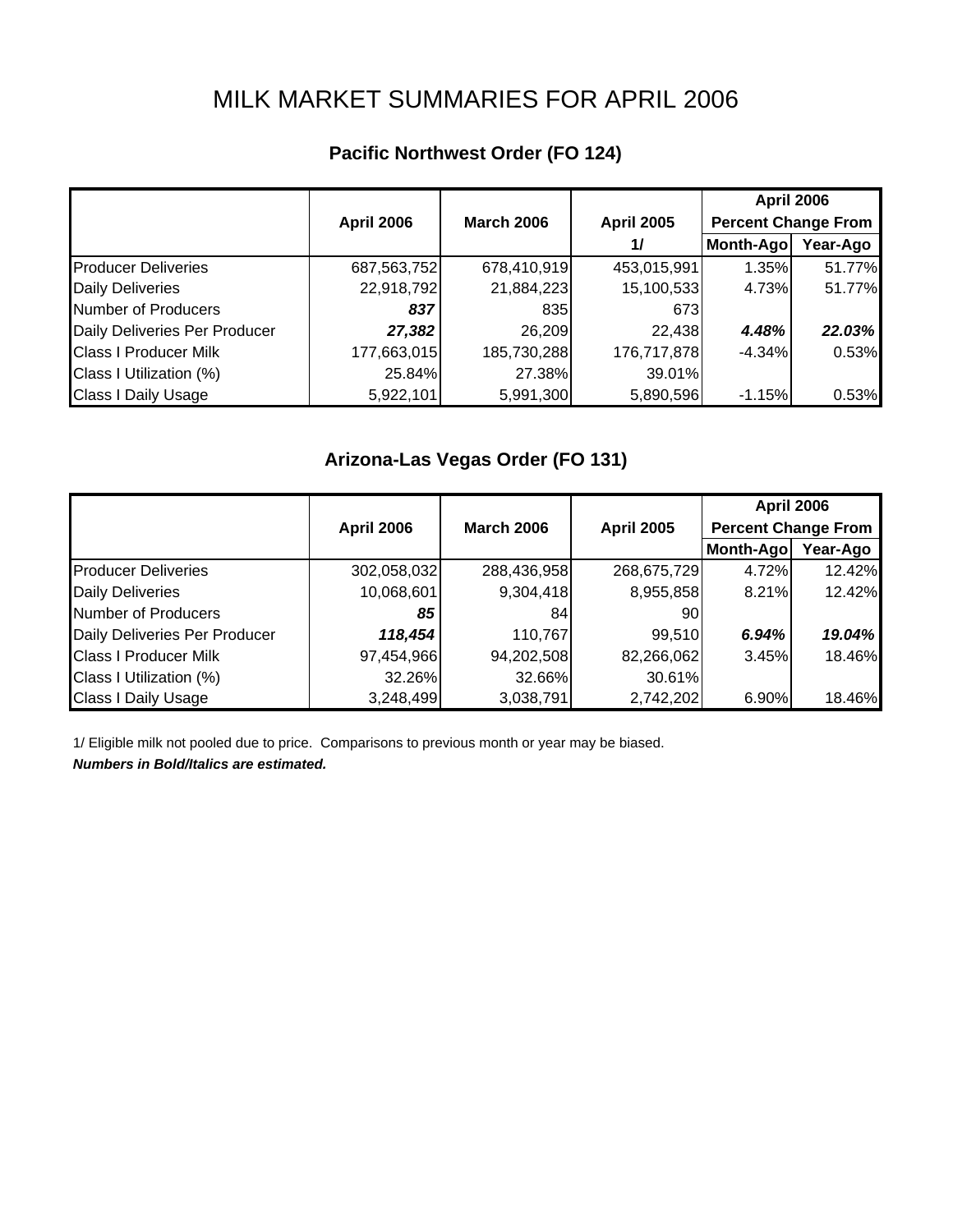# MILK MARKET SUMMARIES FOR APRIL 2006

## **Pacific Northwest Order (FO 124)**

|                               |                   |                   |                   | <b>April 2006</b>          |          |
|-------------------------------|-------------------|-------------------|-------------------|----------------------------|----------|
|                               | <b>April 2006</b> | <b>March 2006</b> | <b>April 2005</b> | <b>Percent Change From</b> |          |
|                               |                   |                   | 1/                | Month-Ago                  | Year-Ago |
| <b>Producer Deliveries</b>    | 687,563,752       | 678,410,919       | 453,015,991       | 1.35%                      | 51.77%   |
| <b>Daily Deliveries</b>       | 22,918,792        | 21,884,223        | 15,100,533        | 4.73%                      | 51.77%   |
| Number of Producers           | 837               | 835               | 673I              |                            |          |
| Daily Deliveries Per Producer | 27,382            | 26,209            | 22,438            | 4.48%                      | 22.03%   |
| <b>Class I Producer Milk</b>  | 177,663,015       | 185,730,288       | 176,717,878       | $-4.34%$                   | 0.53%    |
| Class I Utilization (%)       | 25.84%            | 27.38%            | 39.01%            |                            |          |
| <b>Class I Daily Usage</b>    | 5,922,101         | 5,991,300         | 5,890,596         | $-1.15%$                   | 0.53%    |

#### **Arizona-Las Vegas Order (FO 131)**

|                               |                   |                   |                   | <b>April 2006</b>          |          |
|-------------------------------|-------------------|-------------------|-------------------|----------------------------|----------|
|                               | <b>April 2006</b> | <b>March 2006</b> | <b>April 2005</b> | <b>Percent Change From</b> |          |
|                               |                   |                   |                   | Month-Ago                  | Year-Ago |
| <b>Producer Deliveries</b>    | 302,058,032       | 288,436,958       | 268,675,729       | 4.72%                      | 12.42%   |
| <b>Daily Deliveries</b>       | 10,068,601        | 9,304,418         | 8,955,858         | 8.21%                      | 12.42%   |
| Number of Producers           | 85                | 841               | 901               |                            |          |
| Daily Deliveries Per Producer | 118,454           | 110,767           | 99,510            | 6.94%                      | 19.04%   |
| <b>Class I Producer Milk</b>  | 97,454,966        | 94,202,508        | 82,266,062        | 3.45%                      | 18.46%   |
| Class I Utilization (%)       | 32.26%            | 32.66%            | 30.61%            |                            |          |
| <b>Class I Daily Usage</b>    | 3,248,499         | 3,038,791         | 2,742,202         | 6.90%                      | 18.46%   |

1/ Eligible milk not pooled due to price. Comparisons to previous month or year may be biased.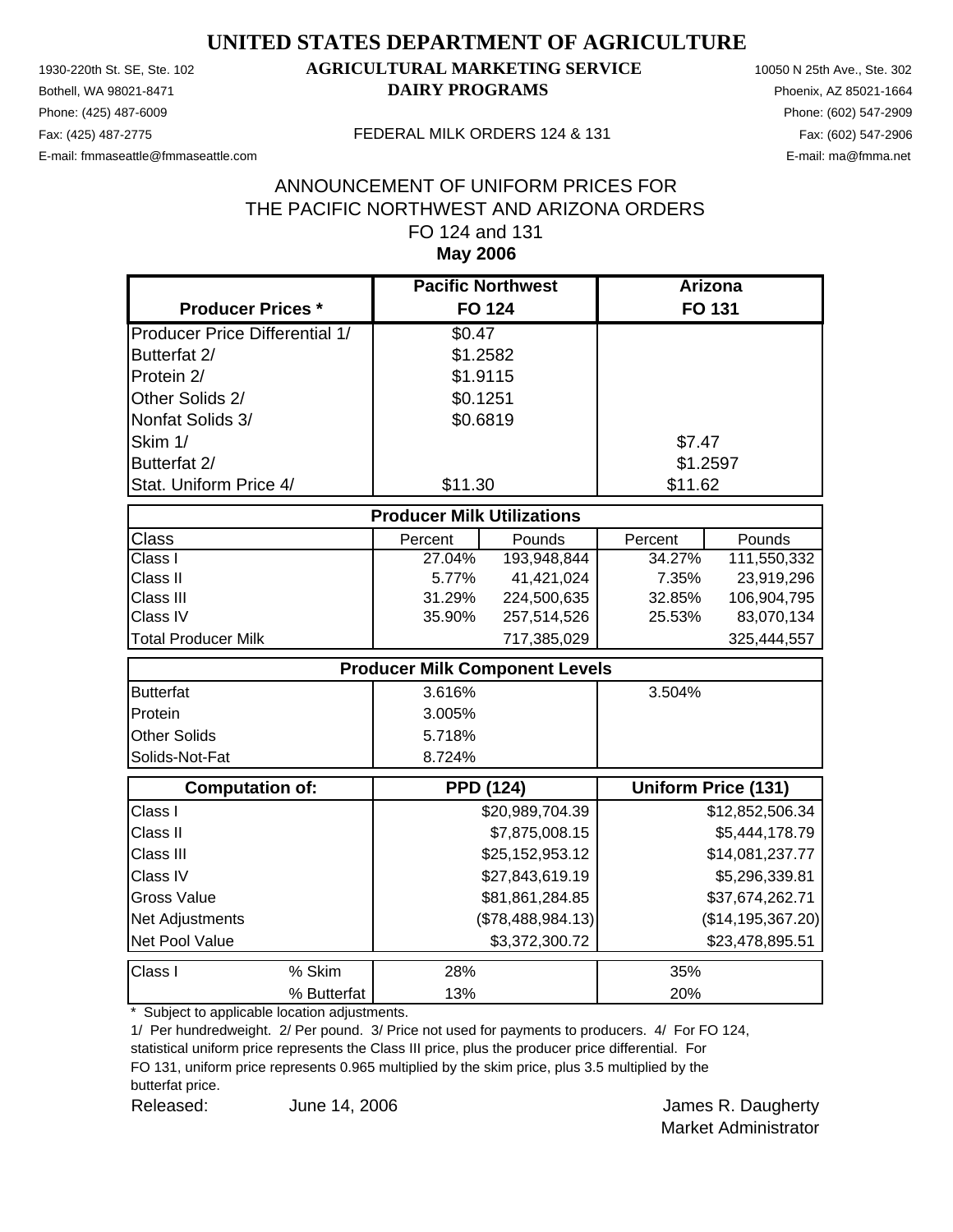Phone: (425) 487-6009 Phone: (602) 547-2909 E-mail: fmmaseattle@fmmaseattle.com E-mail: ma@fmma.net

#### 1930-220th St. SE, Ste. 102 **AGRICULTURAL MARKETING SERVICE** 10050 N 25th Ave., Ste. 302 Bothell, WA 98021-8471 **DAIRY PROGRAMS** Phoenix, AZ 85021-1664

#### Fax: (425) 487-2775 FEDERAL MILK ORDERS 124 & 131

#### **May 2006** ANNOUNCEMENT OF UNIFORM PRICES FOR THE PACIFIC NORTHWEST AND ARIZONA ORDERS FO 124 and 131

|                                       | <b>Pacific Northwest</b>          |                                       | Arizona  |                            |
|---------------------------------------|-----------------------------------|---------------------------------------|----------|----------------------------|
| <b>Producer Prices *</b>              |                                   | <b>FO 124</b>                         |          | <b>FO 131</b>              |
| <b>Producer Price Differential 1/</b> | \$0.47                            |                                       |          |                            |
| Butterfat 2/                          | \$1.2582                          |                                       |          |                            |
| Protein 2/                            | \$1.9115                          |                                       |          |                            |
| Other Solids 2/                       | \$0.1251                          |                                       |          |                            |
| Nonfat Solids 3/                      | \$0.6819                          |                                       |          |                            |
| Skim 1/                               |                                   |                                       | \$7.47   |                            |
| Butterfat 2/                          |                                   |                                       | \$1.2597 |                            |
| Stat. Uniform Price 4/                | \$11.30                           |                                       | \$11.62  |                            |
|                                       | <b>Producer Milk Utilizations</b> |                                       |          |                            |
| <b>Class</b>                          | Percent                           | Pounds                                | Percent  | Pounds                     |
| Class I                               | 27.04%                            | 193,948,844                           | 34.27%   | 111,550,332                |
| Class II                              | 5.77%                             | 41,421,024                            | 7.35%    | 23,919,296                 |
| Class III                             | 31.29%                            | 224,500,635                           | 32.85%   | 106,904,795                |
| Class IV                              | 35.90%                            | 257,514,526                           | 25.53%   | 83,070,134                 |
| <b>Total Producer Milk</b>            |                                   | 717,385,029                           |          | 325,444,557                |
|                                       |                                   | <b>Producer Milk Component Levels</b> |          |                            |
| <b>Butterfat</b>                      | 3.616%                            |                                       | 3.504%   |                            |
| Protein                               | 3.005%                            |                                       |          |                            |
| <b>Other Solids</b>                   | 5.718%                            |                                       |          |                            |
| Solids-Not-Fat                        | 8.724%                            |                                       |          |                            |
| <b>Computation of:</b>                |                                   | <b>PPD (124)</b>                      |          | <b>Uniform Price (131)</b> |
| Class I                               |                                   | \$20,989,704.39                       |          | \$12,852,506.34            |
| Class II                              |                                   | \$7,875,008.15                        |          | \$5,444,178.79             |
| Class III                             |                                   | \$25,152,953.12                       |          | \$14,081,237.77            |
| Class IV                              |                                   | \$27,843,619.19                       |          | \$5,296,339.81             |
| <b>Gross Value</b>                    |                                   | \$81,861,284.85                       |          | \$37,674,262.71            |
| Net Adjustments                       |                                   | (\$78,488,984.13)                     |          | (\$14, 195, 367.20)        |
| Net Pool Value                        |                                   | \$3,372,300.72                        |          | \$23,478,895.51            |
| Class I<br>% Skim                     | 28%                               |                                       | 35%      |                            |
| % Butterfat                           | 13%                               |                                       | 20%      |                            |

\* Subject to applicable location adjustments.

1/ Per hundredweight. 2/ Per pound. 3/ Price not used for payments to producers. 4/ For FO 124,

statistical uniform price represents the Class III price, plus the producer price differential. For FO 131, uniform price represents 0.965 multiplied by the skim price, plus 3.5 multiplied by the butterfat price.

Released: June 14, 2006 **Container Search America** James R. Daugherty June 14, 2006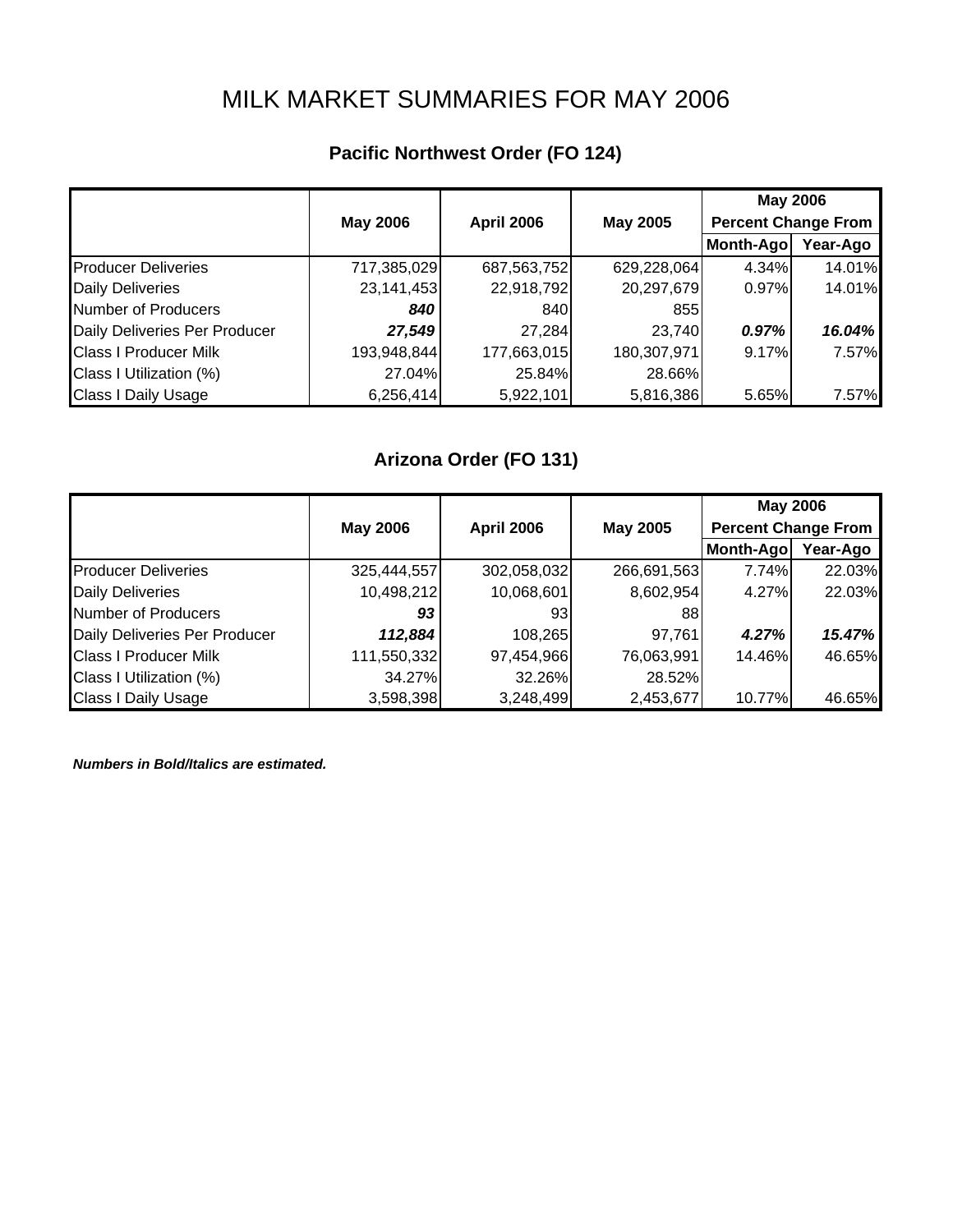# MILK MARKET SUMMARIES FOR MAY 2006

## **Pacific Northwest Order (FO 124)**

|                               |                 |                   |                 | <b>May 2006</b>            |          |
|-------------------------------|-----------------|-------------------|-----------------|----------------------------|----------|
|                               | <b>May 2006</b> | <b>April 2006</b> | <b>May 2005</b> | <b>Percent Change From</b> |          |
|                               |                 |                   |                 | Month-Ago                  | Year-Ago |
| <b>Producer Deliveries</b>    | 717,385,029     | 687,563,752       | 629,228,064     | 4.34%                      | 14.01%   |
| <b>Daily Deliveries</b>       | 23,141,453      | 22,918,792        | 20,297,679      | 0.97%                      | 14.01%   |
| <b>Number of Producers</b>    | 840             | 840               | 8551            |                            |          |
| Daily Deliveries Per Producer | 27,549          | 27,284            | 23,740          | 0.97%                      | 16.04%   |
| <b>Class I Producer Milk</b>  | 193,948,844     | 177,663,015       | 180,307,971     | 9.17%                      | 7.57%    |
| Class I Utilization (%)       | 27.04%          | 25.84%            | 28.66%          |                            |          |
| <b>Class I Daily Usage</b>    | 6,256,414       | 5,922,101         | 5,816,386       | 5.65%                      | 7.57%    |

## **Arizona Order (FO 131)**

|                               |                 |                   |                 | <b>May 2006</b>            |          |
|-------------------------------|-----------------|-------------------|-----------------|----------------------------|----------|
|                               | <b>May 2006</b> | <b>April 2006</b> | <b>May 2005</b> | <b>Percent Change From</b> |          |
|                               |                 |                   |                 | Month-Ago                  | Year-Ago |
| <b>Producer Deliveries</b>    | 325,444,557     | 302,058,032       | 266,691,563     | 7.74%                      | 22.03%   |
| <b>Daily Deliveries</b>       | 10,498,212      | 10,068,601        | 8,602,954       | 4.27%                      | 22.03%   |
| Number of Producers           | 93              | 931               | 88              |                            |          |
| Daily Deliveries Per Producer | 112,884         | 108,265           | 97,761          | 4.27%                      | 15.47%   |
| <b>Class I Producer Milk</b>  | 111,550,332     | 97,454,966        | 76,063,991      | 14.46%                     | 46.65%   |
| Class I Utilization (%)       | 34.27%          | 32.26%            | 28.52%          |                            |          |
| <b>Class I Daily Usage</b>    | 3,598,398       | 3,248,499         | 2,453,677       | 10.77%                     | 46.65%   |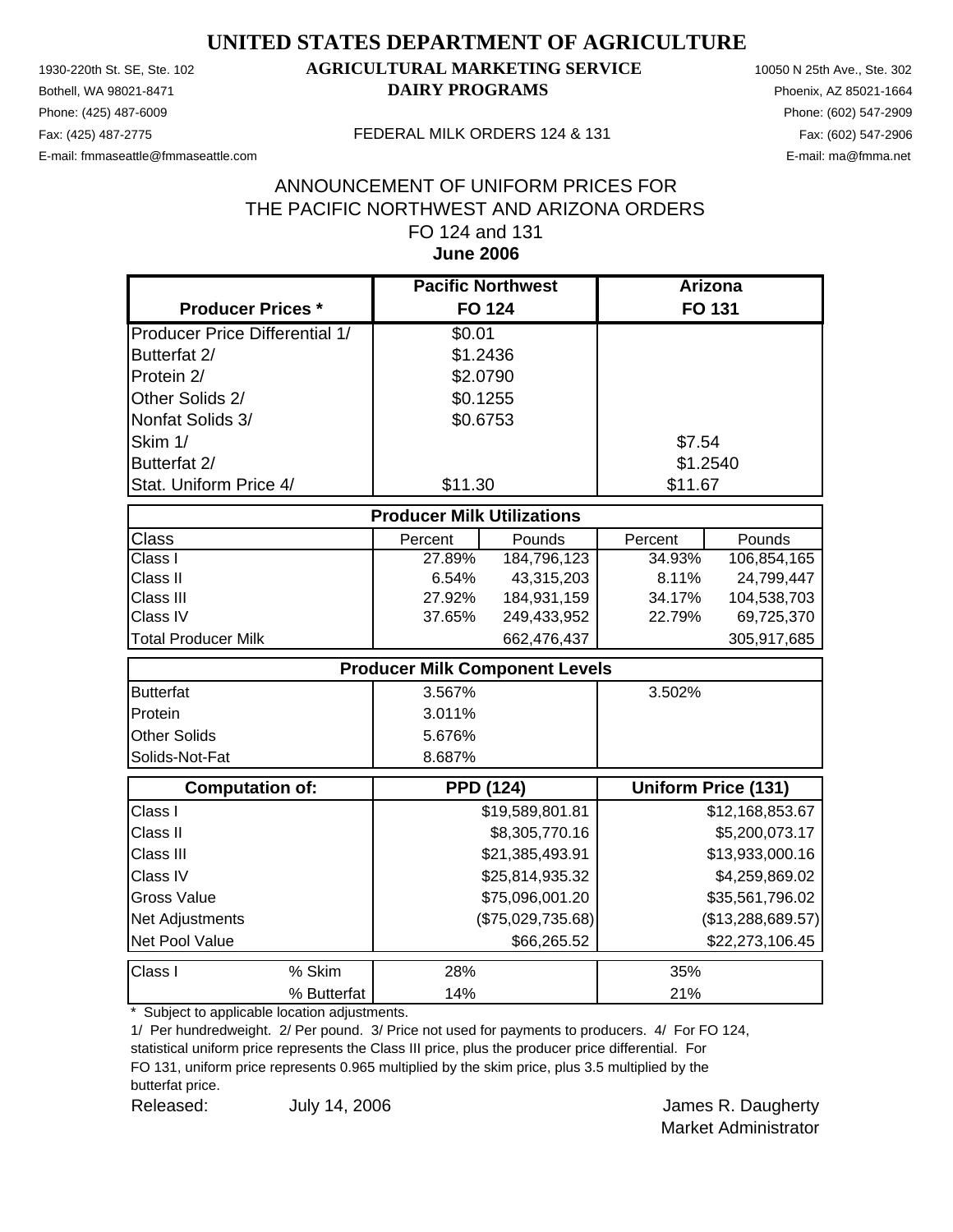Phone: (425) 487-6009 Phone: (602) 547-2909 E-mail: fmmaseattle@fmmaseattle.com E-mail: ma@fmma.net

#### 1930-220th St. SE, Ste. 102 **AGRICULTURAL MARKETING SERVICE** 10050 N 25th Ave., Ste. 302 Bothell, WA 98021-8471 **DAIRY PROGRAMS** Phoenix, AZ 85021-1664

#### Fax: (425) 487-2775 FEDERAL MILK ORDERS 124 & 131

#### **June 2006** ANNOUNCEMENT OF UNIFORM PRICES FOR THE PACIFIC NORTHWEST AND ARIZONA ORDERS FO 124 and 131

|                                       | <b>Pacific Northwest</b>              |                   | <b>Arizona</b> |                            |
|---------------------------------------|---------------------------------------|-------------------|----------------|----------------------------|
| <b>Producer Prices *</b>              | <b>FO 124</b>                         |                   |                | FO 131                     |
| <b>Producer Price Differential 1/</b> | \$0.01                                |                   |                |                            |
| Butterfat 2/                          | \$1.2436                              |                   |                |                            |
| Protein 2/                            | \$2.0790                              |                   |                |                            |
| Other Solids 2/                       | \$0.1255                              |                   |                |                            |
| Nonfat Solids 3/                      | \$0.6753                              |                   |                |                            |
| Skim 1/                               |                                       |                   | \$7.54         |                            |
| Butterfat 2/                          |                                       |                   | \$1.2540       |                            |
| Stat. Uniform Price 4/                | \$11.30                               |                   | \$11.67        |                            |
|                                       | <b>Producer Milk Utilizations</b>     |                   |                |                            |
| <b>Class</b>                          | Percent                               | Pounds            | Percent        | Pounds                     |
| $\overline{\text{Class}}$ I           | 27.89%                                | 184,796,123       | 34.93%         | 106,854,165                |
| Class II                              | 6.54%                                 | 43,315,203        | 8.11%          | 24,799,447                 |
| Class III                             | 27.92%                                | 184,931,159       | 34.17%         | 104,538,703                |
| Class IV                              | 37.65%                                | 249,433,952       | 22.79%         | 69,725,370                 |
| <b>Total Producer Milk</b>            |                                       | 662,476,437       |                | 305,917,685                |
|                                       | <b>Producer Milk Component Levels</b> |                   |                |                            |
| <b>Butterfat</b>                      | 3.567%                                |                   | 3.502%         |                            |
| Protein                               | 3.011%                                |                   |                |                            |
| <b>Other Solids</b>                   | 5.676%                                |                   |                |                            |
| Solids-Not-Fat                        | 8.687%                                |                   |                |                            |
| Computation of:                       | <b>PPD (124)</b>                      |                   |                | <b>Uniform Price (131)</b> |
| Class I                               |                                       | \$19,589,801.81   |                | \$12,168,853.67            |
| Class II                              |                                       | \$8,305,770.16    |                | \$5,200,073.17             |
| Class III                             |                                       | \$21,385,493.91   |                | \$13,933,000.16            |
| Class IV                              |                                       | \$25,814,935.32   |                | \$4,259,869.02             |
| <b>Gross Value</b>                    |                                       | \$75,096,001.20   |                | \$35,561,796.02            |
| Net Adjustments                       |                                       | (\$75,029,735.68) |                | (\$13,288,689.57)          |
| Net Pool Value                        |                                       | \$66,265.52       |                | \$22,273,106.45            |
| Class I<br>% Skim                     | 28%                                   |                   | 35%            |                            |
| % Butterfat                           | 14%                                   |                   | 21%            |                            |

\* Subject to applicable location adjustments.

1/ Per hundredweight. 2/ Per pound. 3/ Price not used for payments to producers. 4/ For FO 124,

statistical uniform price represents the Class III price, plus the producer price differential. For FO 131, uniform price represents 0.965 multiplied by the skim price, plus 3.5 multiplied by the butterfat price.

Released: July 14, 2006 **Released:** James R. Daugherty

July 14, 2006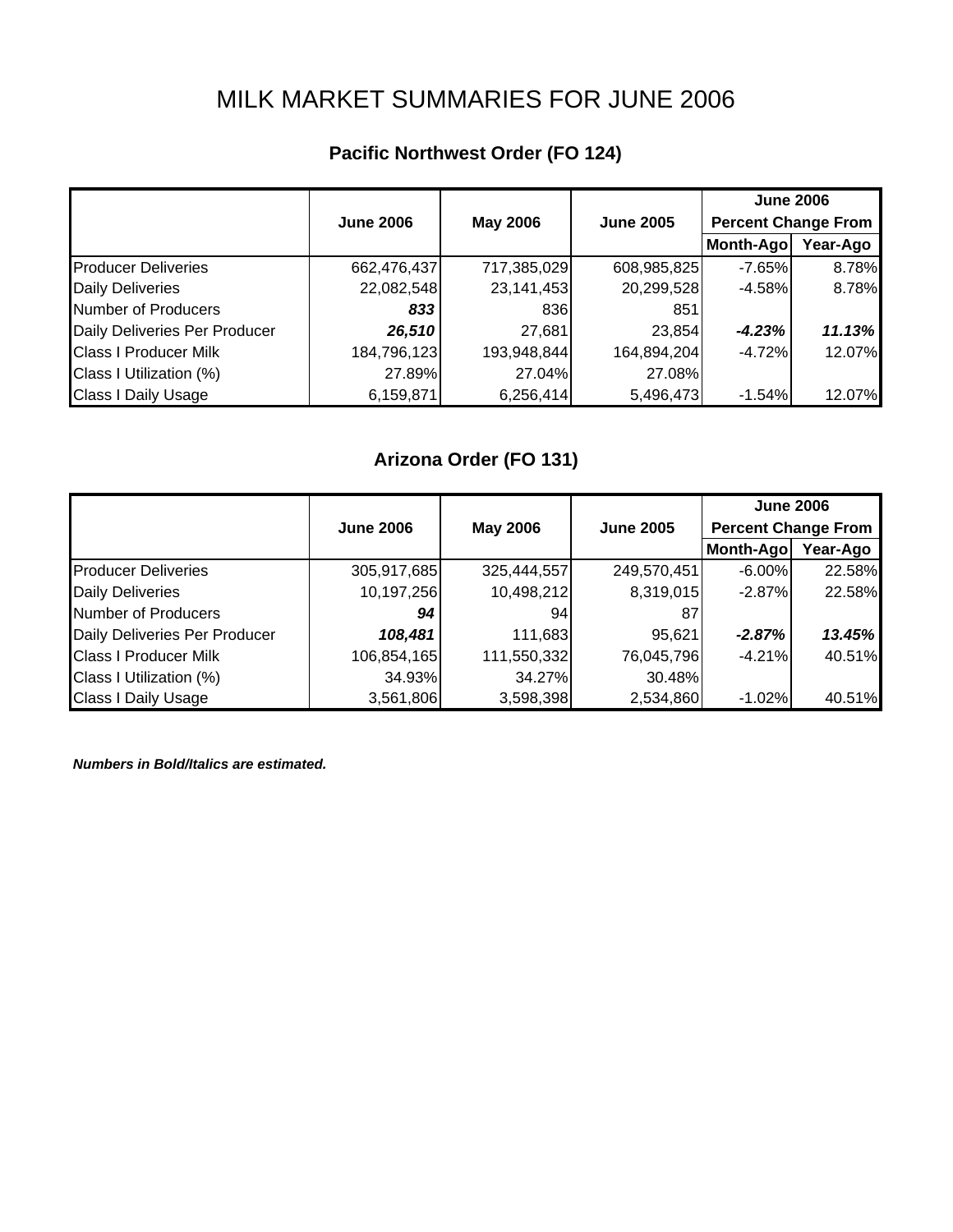# MILK MARKET SUMMARIES FOR JUNE 2006

## **Pacific Northwest Order (FO 124)**

|                               |                  |                 |                  | <b>June 2006</b>           |          |
|-------------------------------|------------------|-----------------|------------------|----------------------------|----------|
|                               | <b>June 2006</b> | <b>May 2006</b> | <b>June 2005</b> | <b>Percent Change From</b> |          |
|                               |                  |                 |                  | Month-Ago                  | Year-Ago |
| <b>Producer Deliveries</b>    | 662,476,437      | 717,385,029     | 608,985,825      | $-7.65%$                   | 8.78%    |
| <b>Daily Deliveries</b>       | 22,082,548       | 23,141,453      | 20,299,528       | $-4.58%$                   | 8.78%    |
| Number of Producers           | 833              | 836             | 851              |                            |          |
| Daily Deliveries Per Producer | 26,510           | 27,681          | 23,854           | $-4.23%$                   | 11.13%   |
| <b>Class I Producer Milk</b>  | 184,796,123      | 193,948,844     | 164,894,204      | $-4.72%$                   | 12.07%   |
| Class I Utilization (%)       | 27.89%           | 27.04%          | 27.08%           |                            |          |
| <b>Class I Daily Usage</b>    | 6,159,871        | 6,256,414       | 5,496,473        | $-1.54%$                   | 12.07%   |

## **Arizona Order (FO 131)**

|                               |                  |                 |                  | <b>June 2006</b>           |          |
|-------------------------------|------------------|-----------------|------------------|----------------------------|----------|
|                               | <b>June 2006</b> | <b>May 2006</b> | <b>June 2005</b> | <b>Percent Change From</b> |          |
|                               |                  |                 |                  | Month-Ago                  | Year-Ago |
| <b>Producer Deliveries</b>    | 305,917,685      | 325,444,557     | 249,570,451      | $-6.00\%$                  | 22.58%   |
| <b>Daily Deliveries</b>       | 10,197,256       | 10,498,212      | 8,319,015        | $-2.87%$                   | 22.58%   |
| Number of Producers           | 94               | 94              | 87               |                            |          |
| Daily Deliveries Per Producer | 108,481          | 111,683         | 95,621           | $-2.87%$                   | 13.45%   |
| <b>Class I Producer Milk</b>  | 106,854,165      | 111,550,332     | 76,045,796       | $-4.21%$                   | 40.51%   |
| Class I Utilization (%)       | 34.93%           | 34.27%          | 30.48%           |                            |          |
| <b>Class I Daily Usage</b>    | 3,561,806        | 3,598,398       | 2,534,860        | $-1.02%$                   | 40.51%   |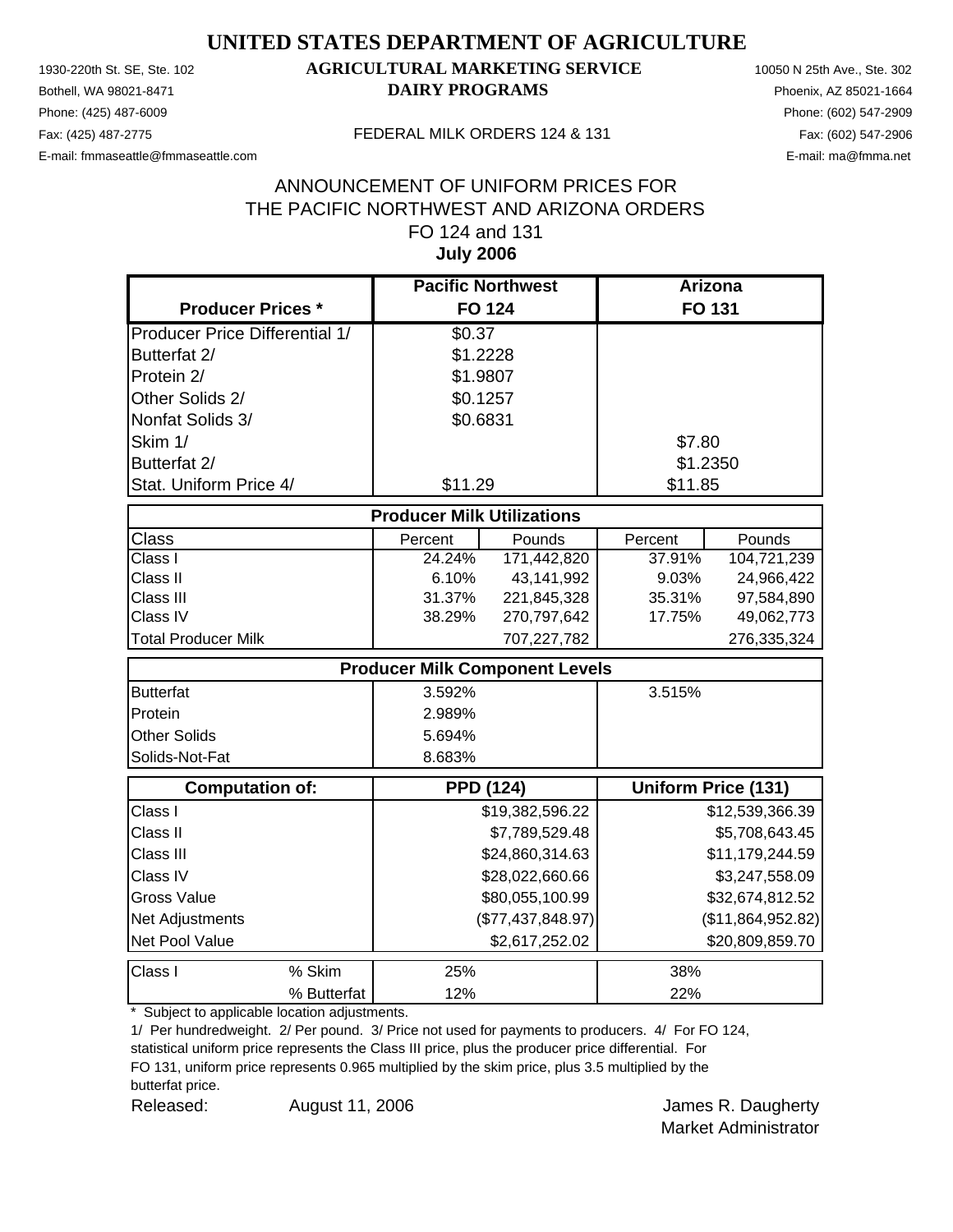Phone: (425) 487-6009 Phone: (602) 547-2909 E-mail: fmmaseattle@fmmaseattle.com E-mail: ma@fmma.net

#### 1930-220th St. SE, Ste. 102 **AGRICULTURAL MARKETING SERVICE** 10050 N 25th Ave., Ste. 302 Bothell, WA 98021-8471 **DAIRY PROGRAMS** Phoenix, AZ 85021-1664

#### Fax: (425) 487-2775 FEDERAL MILK ORDERS 124 & 131

#### **July 2006** ANNOUNCEMENT OF UNIFORM PRICES FOR THE PACIFIC NORTHWEST AND ARIZONA ORDERS FO 124 and 131

|                                       | <b>Pacific Northwest</b>          |                                       | <b>Arizona</b> |                            |
|---------------------------------------|-----------------------------------|---------------------------------------|----------------|----------------------------|
| <b>Producer Prices *</b>              |                                   | <b>FO 124</b>                         |                | <b>FO 131</b>              |
| <b>Producer Price Differential 1/</b> | \$0.37                            |                                       |                |                            |
| Butterfat 2/                          | \$1.2228                          |                                       |                |                            |
| Protein 2/                            | \$1.9807                          |                                       |                |                            |
| Other Solids 2/                       | \$0.1257                          |                                       |                |                            |
| Nonfat Solids 3/                      | \$0.6831                          |                                       |                |                            |
| Skim 1/                               |                                   |                                       | \$7.80         |                            |
| Butterfat 2/                          |                                   |                                       | \$1.2350       |                            |
| Stat. Uniform Price 4/                | \$11.29                           |                                       | \$11.85        |                            |
|                                       | <b>Producer Milk Utilizations</b> |                                       |                |                            |
| Class                                 | Percent                           | Pounds                                | Percent        | Pounds                     |
| Class I                               | 24.24%                            | 171,442,820                           | 37.91%         | 104,721,239                |
| Class II                              | 6.10%                             | 43,141,992                            | 9.03%          | 24,966,422                 |
| Class III                             | 31.37%                            | 221,845,328                           | 35.31%         | 97,584,890                 |
| Class IV                              | 38.29%                            | 270,797,642                           | 17.75%         | 49,062,773                 |
| <b>Total Producer Milk</b>            |                                   | 707,227,782                           |                | 276,335,324                |
|                                       |                                   | <b>Producer Milk Component Levels</b> |                |                            |
| <b>Butterfat</b>                      | 3.592%                            |                                       | 3.515%         |                            |
| Protein                               | 2.989%                            |                                       |                |                            |
| Other Solids                          | 5.694%                            |                                       |                |                            |
| Solids-Not-Fat                        | 8.683%                            |                                       |                |                            |
| <b>Computation of:</b>                |                                   | <b>PPD (124)</b>                      |                | <b>Uniform Price (131)</b> |
| Class I                               |                                   | \$19,382,596.22                       |                | \$12,539,366.39            |
| Class II                              |                                   | \$7,789,529.48                        |                | \$5,708,643.45             |
| Class III                             |                                   | \$24,860,314.63                       |                | \$11,179,244.59            |
| Class IV                              |                                   | \$28,022,660.66                       |                | \$3,247,558.09             |
| <b>Gross Value</b>                    |                                   | \$80,055,100.99                       |                | \$32,674,812.52            |
| Net Adjustments                       |                                   | (\$77,437,848.97)                     |                | (\$11,864,952.82)          |
| Net Pool Value                        |                                   | \$2,617,252.02                        |                | \$20,809,859.70            |
| Class I<br>% Skim                     | 25%                               |                                       | 38%            |                            |
| % Butterfat                           | 12%                               |                                       | 22%            |                            |

\* Subject to applicable location adjustments.

1/ Per hundredweight. 2/ Per pound. 3/ Price not used for payments to producers. 4/ For FO 124,

statistical uniform price represents the Class III price, plus the producer price differential. For FO 131, uniform price represents 0.965 multiplied by the skim price, plus 3.5 multiplied by the butterfat price.

Released: August 11, 2006 Channel Mannes R. Daugherty August 11, 2006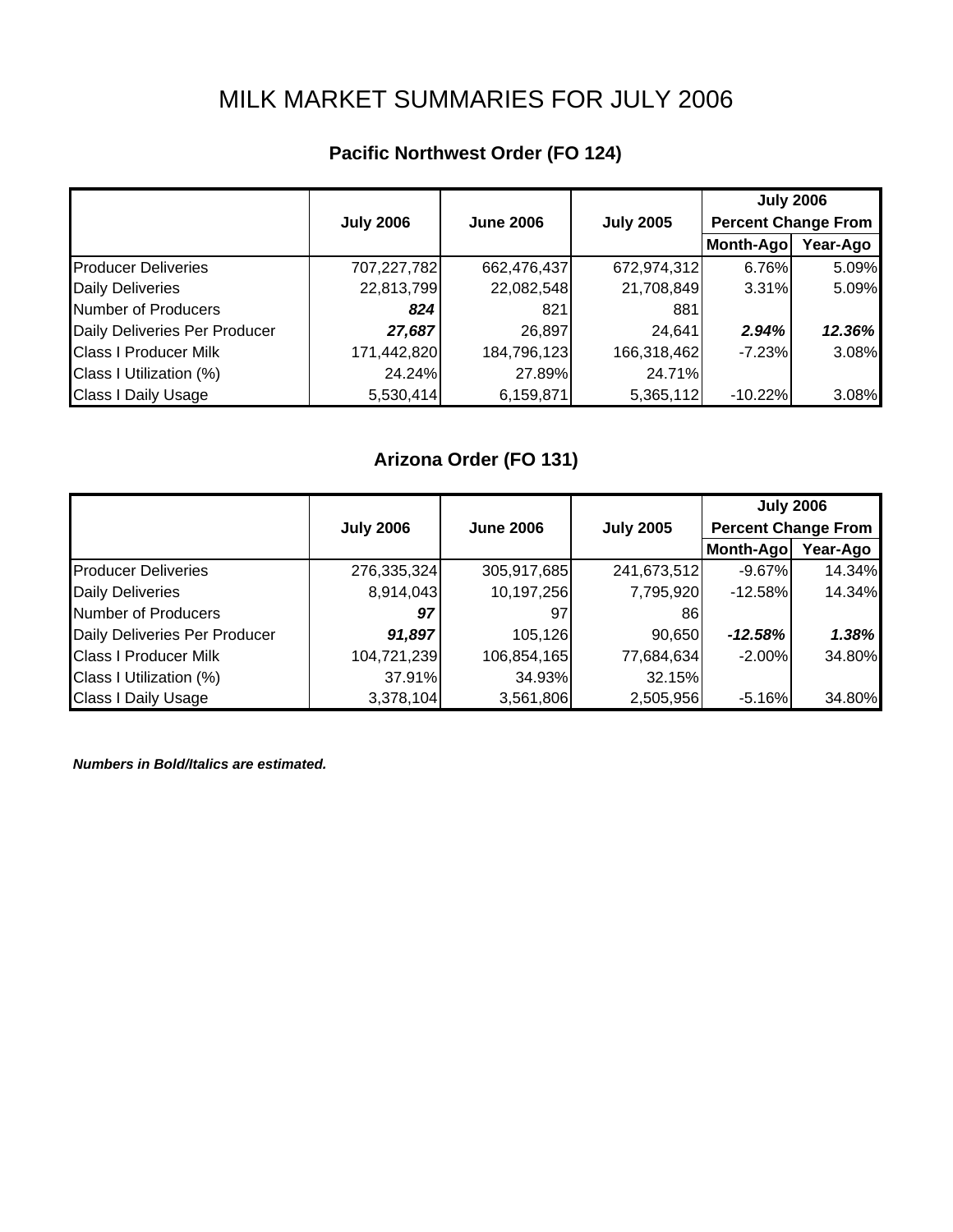# MILK MARKET SUMMARIES FOR JULY 2006

## **Pacific Northwest Order (FO 124)**

|                               |                  |                  |                  | <b>July 2006</b>           |          |
|-------------------------------|------------------|------------------|------------------|----------------------------|----------|
|                               | <b>July 2006</b> | <b>June 2006</b> | <b>July 2005</b> | <b>Percent Change From</b> |          |
|                               |                  |                  |                  | Month-Ago                  | Year-Ago |
| <b>Producer Deliveries</b>    | 707,227,782      | 662,476,437      | 672,974,312      | 6.76%                      | 5.09%    |
| <b>Daily Deliveries</b>       | 22,813,799       | 22,082,548       | 21,708,849       | 3.31%                      | 5.09%    |
| Number of Producers           | 824              | 821              | 881              |                            |          |
| Daily Deliveries Per Producer | 27,687           | 26,897           | 24,641           | 2.94%                      | 12.36%   |
| <b>Class I Producer Milk</b>  | 171,442,820      | 184,796,123      | 166,318,462      | $-7.23%$                   | 3.08%    |
| Class I Utilization (%)       | 24.24%           | 27.89%           | 24.71%           |                            |          |
| <b>Class I Daily Usage</b>    | 5,530,414        | 6,159,871        | 5,365,112        | $-10.22%$                  | 3.08%    |

## **Arizona Order (FO 131)**

|                               |                  |                  |                  | <b>July 2006</b>           |          |
|-------------------------------|------------------|------------------|------------------|----------------------------|----------|
|                               | <b>July 2006</b> | <b>June 2006</b> | <b>July 2005</b> | <b>Percent Change From</b> |          |
|                               |                  |                  |                  | Month-Ago                  | Year-Ago |
| <b>Producer Deliveries</b>    | 276,335,324      | 305,917,685      | 241,673,512      | $-9.67%$                   | 14.34%   |
| <b>Daily Deliveries</b>       | 8,914,043        | 10,197,256       | 7,795,920        | $-12.58\%$                 | 14.34%   |
| <b>Number of Producers</b>    | 97               | 97               | 86               |                            |          |
| Daily Deliveries Per Producer | 91,897           | 105,126          | 90,650           | $-12.58%$                  | 1.38%    |
| <b>Class I Producer Milk</b>  | 104,721,239      | 106,854,165      | 77,684,634       | $-2.00%$                   | 34.80%   |
| Class I Utilization (%)       | 37.91%           | 34.93%           | 32.15%           |                            |          |
| <b>Class I Daily Usage</b>    | 3,378,104        | 3,561,806        | 2,505,956        | $-5.16%$                   | 34.80%   |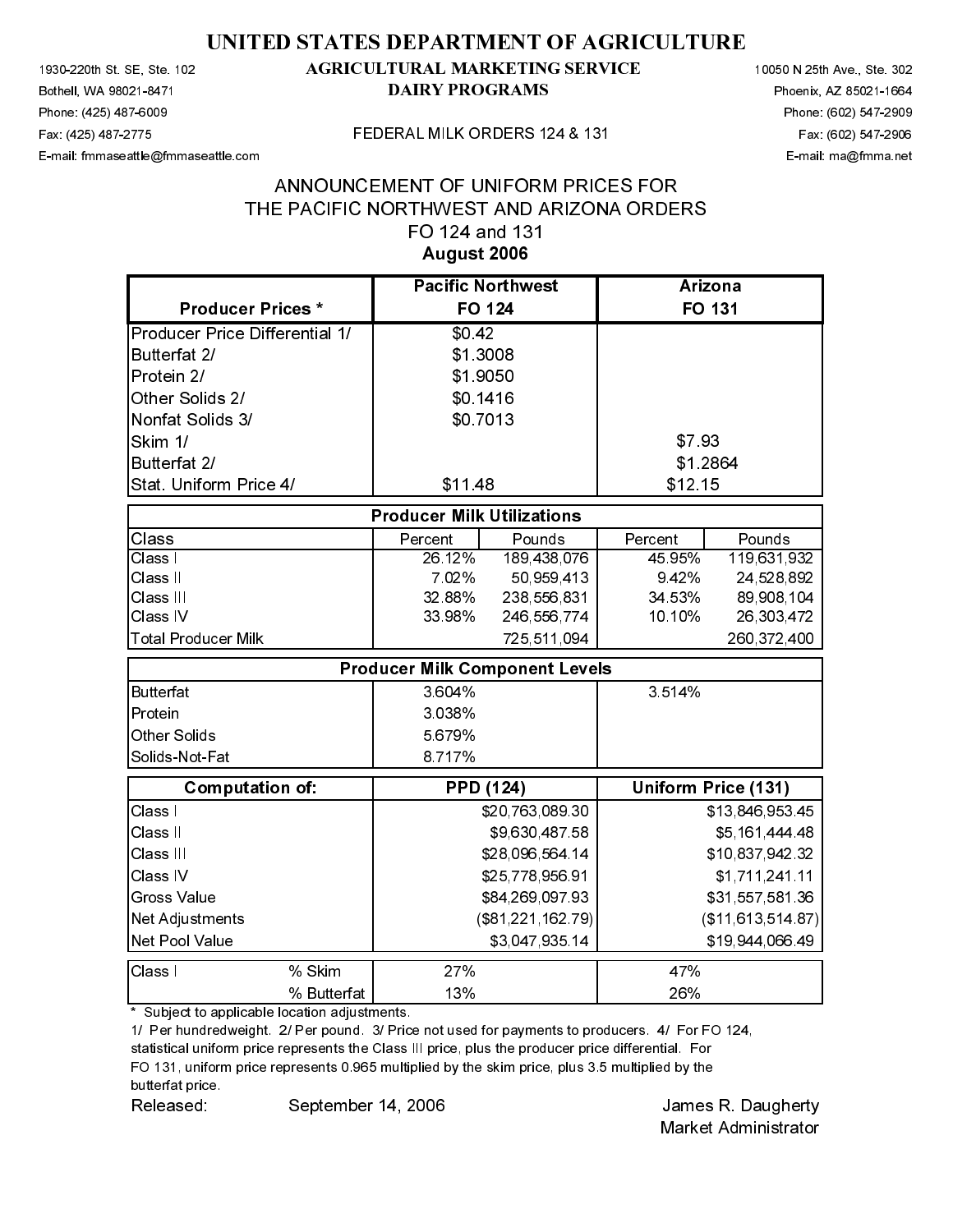# August 2006

| 1930-220th St SE, Ste 102<br>Bothell, WA 98021-8471                                                                                                                                                                       |                                          | <b>DAIRY PROGRAMS</b>             | <b>AGRICULTURAL MARKETING SERVICE</b> |                     |                                                   | 10050 N 25th Ave., Ste. 302<br>Phoenix, AZ 85021-1664 |
|---------------------------------------------------------------------------------------------------------------------------------------------------------------------------------------------------------------------------|------------------------------------------|-----------------------------------|---------------------------------------|---------------------|---------------------------------------------------|-------------------------------------------------------|
| Phone (425) 487-6009                                                                                                                                                                                                      |                                          |                                   |                                       |                     |                                                   | Phone: (602) 547-2909                                 |
| Fax (425) 487-2775<br>E-mail: fmmaseattle@fmmaseattle.com                                                                                                                                                                 |                                          |                                   | FEDERAL MILK ORDERS 124 & 131         |                     |                                                   | Fax (602) 547-2906<br>E-mail: ma@fmma.net             |
|                                                                                                                                                                                                                           |                                          |                                   |                                       |                     |                                                   |                                                       |
|                                                                                                                                                                                                                           | THE PACIFIC NORTHWEST AND ARIZONA ORDERS |                                   | ANNOUNCEMENT OF UNIFORM PRICES FOR    |                     |                                                   |                                                       |
|                                                                                                                                                                                                                           |                                          | FO 124 and 131                    |                                       |                     |                                                   |                                                       |
|                                                                                                                                                                                                                           |                                          | August 2006                       |                                       |                     |                                                   |                                                       |
|                                                                                                                                                                                                                           |                                          | <b>Pacific Northwest</b>          |                                       | Arizona             |                                                   |                                                       |
| <b>Producer Prices*</b>                                                                                                                                                                                                   |                                          | <b>FO 124</b>                     |                                       | <b>FO 131</b>       |                                                   |                                                       |
| Producer Price Differential 1/                                                                                                                                                                                            |                                          | \$0.42                            |                                       |                     |                                                   |                                                       |
| Butterfat 2/                                                                                                                                                                                                              |                                          | \$1.3008                          |                                       |                     |                                                   |                                                       |
| Protein 2/<br>Other Solids 2/                                                                                                                                                                                             |                                          | \$1.9050<br>\$0.1416              |                                       |                     |                                                   |                                                       |
| Nonfat Solids 3/                                                                                                                                                                                                          |                                          | \$0 7013                          |                                       |                     |                                                   |                                                       |
| Skim 1/                                                                                                                                                                                                                   |                                          |                                   |                                       | \$793               |                                                   |                                                       |
| Butterfat 2/                                                                                                                                                                                                              |                                          |                                   |                                       | \$1.2864            |                                                   |                                                       |
| Stat. Uniform Price 4/                                                                                                                                                                                                    |                                          | \$11.48                           |                                       | \$12.15             |                                                   |                                                       |
|                                                                                                                                                                                                                           |                                          | <b>Producer Milk Utilizations</b> |                                       |                     |                                                   |                                                       |
| Class<br>Class I                                                                                                                                                                                                          |                                          | Percent<br>26.12%                 | Pounds<br>189,438,076                 | Percent<br>45.95%   | Pounds<br>119,631,932                             |                                                       |
| Class II                                                                                                                                                                                                                  |                                          | 702%                              | 50,959,413                            | 9.42%               | 24,528,892                                        |                                                       |
| Class III                                                                                                                                                                                                                 |                                          | 32.88%                            | 238,556,831                           | 34 53%              | 89,908,104                                        |                                                       |
| Class IV<br><b>Total Producer Milk</b>                                                                                                                                                                                    |                                          | 33.98%                            | 246,556,774<br>725,511,094            | 10.10%              | 26,303,472<br>260,372,400                         |                                                       |
|                                                                                                                                                                                                                           |                                          |                                   | <b>Producer Milk Component Levels</b> |                     |                                                   |                                                       |
| <b>Butterfat</b>                                                                                                                                                                                                          |                                          | 3 604%                            |                                       | 3.514%              |                                                   |                                                       |
| Protein                                                                                                                                                                                                                   |                                          | 3 0 3 8 %                         |                                       |                     |                                                   |                                                       |
| Other Solids                                                                                                                                                                                                              |                                          | 5 679%                            |                                       |                     |                                                   |                                                       |
| Solids-Not-Fat                                                                                                                                                                                                            |                                          | 8.717%                            |                                       |                     |                                                   |                                                       |
| <b>Computation of:</b>                                                                                                                                                                                                    |                                          | <b>PPD (124)</b>                  |                                       | Uniform Price (131) |                                                   |                                                       |
| Class I                                                                                                                                                                                                                   |                                          |                                   | \$20,763,089.30                       |                     | \$13,846,953.45                                   |                                                       |
| Class II<br>Class III                                                                                                                                                                                                     |                                          |                                   | \$9,630,487.58<br>\$28,096,564.14     |                     | \$5,161,444 48<br>\$10,837,942.32                 |                                                       |
| Class IV                                                                                                                                                                                                                  |                                          |                                   | \$25,778,956.91                       |                     | \$1,711,241.11                                    |                                                       |
| <b>Gross Value</b>                                                                                                                                                                                                        |                                          |                                   | \$84,269,097.93                       |                     | \$31,557,581.36                                   |                                                       |
| <b>Net Adjustments</b>                                                                                                                                                                                                    |                                          |                                   | (\$81,221,162.79)                     |                     | (\$11, 613, 514, 87)                              |                                                       |
| Net Pool Value                                                                                                                                                                                                            |                                          |                                   | \$3,047,935.14                        |                     | \$19 944 066 49                                   |                                                       |
| Class I                                                                                                                                                                                                                   | % Skim<br>% Butterfat                    | 27%<br>13%                        |                                       | 47%<br>26%          |                                                   |                                                       |
| statistical uniform price represents the Class III price, plus the producer price differential. For<br>FO 131, uniform price represents 0.965 multiplied by the skim price, plus 3.5 multiplied by the<br>butterfat price |                                          |                                   |                                       |                     |                                                   |                                                       |
| Released:                                                                                                                                                                                                                 | September 14, 2006                       |                                   |                                       |                     | James R. Daugherty<br><b>Market Administrator</b> |                                                       |
|                                                                                                                                                                                                                           |                                          |                                   |                                       |                     |                                                   |                                                       |
|                                                                                                                                                                                                                           |                                          |                                   |                                       |                     |                                                   |                                                       |
|                                                                                                                                                                                                                           |                                          |                                   |                                       |                     |                                                   |                                                       |
|                                                                                                                                                                                                                           |                                          |                                   |                                       |                     |                                                   |                                                       |
|                                                                                                                                                                                                                           |                                          |                                   |                                       |                     |                                                   |                                                       |
|                                                                                                                                                                                                                           |                                          |                                   |                                       |                     |                                                   |                                                       |
|                                                                                                                                                                                                                           |                                          |                                   |                                       |                     |                                                   |                                                       |
|                                                                                                                                                                                                                           |                                          |                                   |                                       |                     |                                                   |                                                       |
|                                                                                                                                                                                                                           |                                          |                                   |                                       |                     |                                                   |                                                       |
|                                                                                                                                                                                                                           |                                          |                                   |                                       |                     |                                                   |                                                       |
|                                                                                                                                                                                                                           |                                          |                                   |                                       |                     |                                                   |                                                       |
|                                                                                                                                                                                                                           |                                          |                                   |                                       |                     |                                                   |                                                       |
|                                                                                                                                                                                                                           |                                          |                                   |                                       |                     |                                                   |                                                       |
|                                                                                                                                                                                                                           |                                          |                                   |                                       |                     |                                                   |                                                       |
|                                                                                                                                                                                                                           |                                          |                                   |                                       |                     |                                                   |                                                       |
|                                                                                                                                                                                                                           |                                          |                                   |                                       |                     |                                                   |                                                       |
|                                                                                                                                                                                                                           |                                          |                                   |                                       |                     |                                                   |                                                       |
|                                                                                                                                                                                                                           |                                          |                                   |                                       |                     |                                                   |                                                       |
|                                                                                                                                                                                                                           |                                          |                                   |                                       |                     |                                                   |                                                       |
|                                                                                                                                                                                                                           |                                          |                                   |                                       |                     |                                                   |                                                       |
|                                                                                                                                                                                                                           |                                          |                                   |                                       |                     |                                                   |                                                       |
|                                                                                                                                                                                                                           |                                          |                                   |                                       |                     |                                                   |                                                       |
|                                                                                                                                                                                                                           |                                          |                                   |                                       |                     |                                                   |                                                       |
|                                                                                                                                                                                                                           |                                          |                                   |                                       |                     |                                                   |                                                       |
|                                                                                                                                                                                                                           |                                          |                                   |                                       |                     |                                                   |                                                       |
|                                                                                                                                                                                                                           |                                          |                                   |                                       |                     |                                                   |                                                       |
|                                                                                                                                                                                                                           |                                          |                                   |                                       |                     |                                                   |                                                       |
|                                                                                                                                                                                                                           |                                          |                                   |                                       |                     |                                                   |                                                       |
|                                                                                                                                                                                                                           |                                          |                                   |                                       |                     |                                                   |                                                       |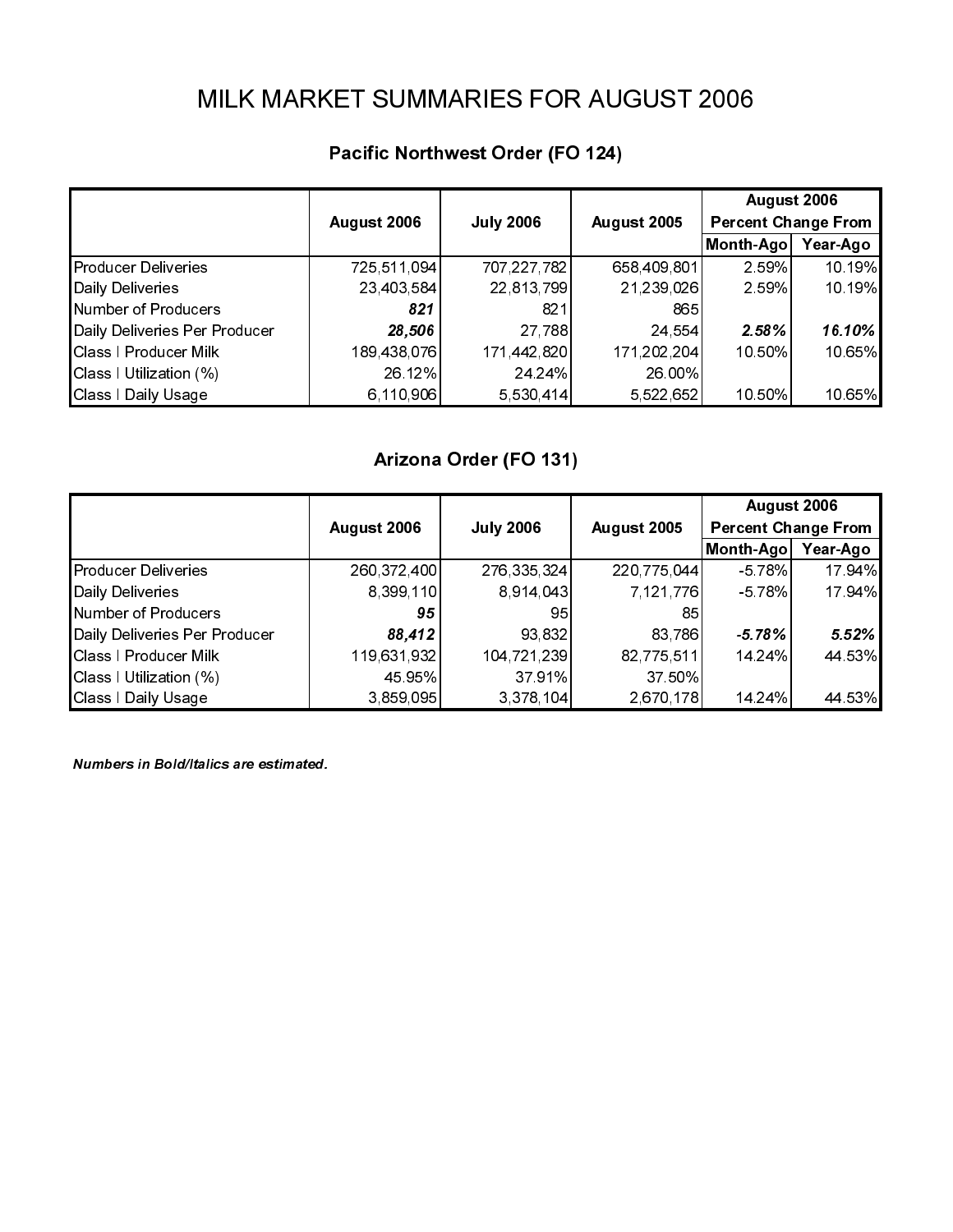|                                                        | August 2006               | <b>July 2006</b>          | August 2005               | August 2006<br><b>Percent Change From</b> |                  |
|--------------------------------------------------------|---------------------------|---------------------------|---------------------------|-------------------------------------------|------------------|
| Producer Deliveries                                    | 725,511,094<br>23,403,584 | 707,227,782<br>22,813,799 | 658,409,801<br>21,239,026 | Month-Ago Year-Ago<br>2.59%<br>2 59%      | 10.19%<br>10.19% |
| Daily Deliveries<br>Number of Producers                | 821                       | 821                       | 865                       |                                           |                  |
| Daily Deliveries Per Producer<br>Class   Producer Milk | 28,506<br>189,438,076     | 27,788<br>171,442,820     | 24,554<br>171,202,204     | 2.58%<br>10.50%                           | 16.10%<br>10.65% |
| Class I Utilization (%)<br>Class I Daily Usage         | 26.12%<br>6, 110, 906     | 24 24%<br>5,530,414       | 26.00%<br>5,522,652       | 10.50%                                    | 10.65%           |
|                                                        |                           | Arizona Order (FO 131)    |                           |                                           |                  |
|                                                        | August 2006               | <b>July 2006</b>          | August 2005               | August 2006<br><b>Percent Change From</b> |                  |
| Producer Deliveries                                    | 260,372,400               | 276, 335, 324             | 220,775,044               | Month-Ago Year-Ago<br>-5.78%              | 17 94%           |
| Daily Deliveries                                       | 8,399,110                 | 8,914,043                 | 7,121,776                 | $-578%$                                   | 17 94%           |
| Number of Producers<br>Daily Deliveries Per Producer   | 95<br>88,412              | 95<br>93,832              | 85<br>83,786              | $-5.78%$                                  | 5.52%            |
| Class I Producer Milk<br>Class I Utilization (%)       | 119,631,932<br>45 95%     | 104,721,239<br>37 91%     | 82,775,511<br>37 50%      | 14 24%                                    | 44 53%           |
| Class I Daily Usage                                    | 3,859,095                 | 3,378,104                 | 2,670,178                 | 14 24%                                    | 44 53%           |
|                                                        |                           |                           |                           |                                           |                  |
|                                                        |                           |                           |                           |                                           |                  |
|                                                        |                           |                           |                           |                                           |                  |
|                                                        |                           |                           |                           |                                           |                  |
|                                                        |                           |                           |                           |                                           |                  |
|                                                        |                           |                           |                           |                                           |                  |
|                                                        |                           |                           |                           |                                           |                  |
|                                                        |                           |                           |                           |                                           |                  |
|                                                        |                           |                           |                           |                                           |                  |
|                                                        |                           |                           |                           |                                           |                  |
|                                                        |                           |                           |                           |                                           |                  |
|                                                        |                           |                           |                           |                                           |                  |
|                                                        |                           |                           |                           |                                           |                  |
|                                                        |                           |                           |                           |                                           |                  |
|                                                        |                           |                           |                           |                                           |                  |
|                                                        |                           |                           |                           |                                           |                  |
|                                                        |                           |                           |                           |                                           |                  |
|                                                        |                           |                           |                           |                                           |                  |
|                                                        |                           |                           |                           |                                           |                  |
|                                                        |                           |                           |                           |                                           |                  |
|                                                        |                           |                           |                           |                                           |                  |
|                                                        |                           |                           |                           |                                           |                  |
|                                                        |                           |                           |                           |                                           |                  |
|                                                        |                           |                           |                           |                                           |                  |
|                                                        |                           |                           |                           |                                           |                  |
|                                                        |                           |                           |                           |                                           |                  |
|                                                        |                           |                           |                           |                                           |                  |
|                                                        |                           |                           |                           |                                           |                  |
|                                                        |                           |                           |                           |                                           |                  |
|                                                        |                           |                           |                           |                                           |                  |
|                                                        |                           |                           |                           |                                           |                  |
|                                                        |                           |                           |                           |                                           |                  |
|                                                        |                           |                           |                           |                                           |                  |
|                                                        |                           |                           |                           |                                           |                  |
|                                                        |                           |                           |                           |                                           |                  |
|                                                        |                           |                           |                           |                                           |                  |
|                                                        |                           |                           |                           |                                           |                  |
|                                                        |                           |                           |                           |                                           |                  |
|                                                        |                           |                           |                           |                                           |                  |
|                                                        |                           |                           |                           |                                           |                  |

| Daily Deliveries                                                        | $\mathcal{F}$ and $\mathcal{F}$<br>23,403,584 | 22,813,799                         | $\mathcal{L}$ , and $\mathcal{L}$<br>21,239,026 | 2.59%                                                       | 10.19%           |
|-------------------------------------------------------------------------|-----------------------------------------------|------------------------------------|-------------------------------------------------|-------------------------------------------------------------|------------------|
| Number of Producers<br>Daily Deliveries Per Producer                    | 821<br>28,506                                 | 821<br>27,788                      | 865<br>24,554                                   | 2.58%                                                       | 16.10%           |
| Class   Producer Milk<br>Class I Utilization (%)<br>Class I Daily Usage | 189,438,076<br>26.12%<br>6,110,906            | 171,442,820<br>24.24%<br>5,530,414 | 171,202,204<br>26.00%<br>5,522,652              | 10.50%<br>10.50%                                            | 10.65%<br>10.65% |
|                                                                         |                                               | Arizona Order (FO 131)             |                                                 |                                                             |                  |
|                                                                         |                                               |                                    |                                                 | August 2006                                                 |                  |
| <b>Producer Deliveries</b><br>Daily Deliveries                          | August 2006<br>260,372,400                    | <b>July 2006</b><br>276, 335, 324  | August 2005<br>220,775,044                      | <b>Percent Change From</b><br>Month-Ago Year-Ago<br>$-578%$ | 17.94%           |
| Number of Producers<br>Daily Deliveries Per Producer                    | 8,399,110<br>95<br>88,412                     | 8,914,043<br>95<br>93,832          | 7,121,776<br>85<br>83,786                       | $-5.78%$<br>$-5.78%$                                        | 17.94%<br>5.52%  |
| Class I Producer Milk<br>Class I Utilization (%)<br>Class I Daily Usage | 119,631,932<br>45.95%<br>3,859,095            | 104,721,239<br>37.91%<br>3,378,104 | 82,775,511<br>37 50%<br>2,670,178               | 14.24%<br>14.24%                                            | 44.53%<br>44.53% |
| Numbers in Bold/Italics are estimated.                                  |                                               |                                    |                                                 |                                                             |                  |
|                                                                         |                                               |                                    |                                                 |                                                             |                  |
|                                                                         |                                               |                                    |                                                 |                                                             |                  |
|                                                                         |                                               |                                    |                                                 |                                                             |                  |
|                                                                         |                                               |                                    |                                                 |                                                             |                  |
|                                                                         |                                               |                                    |                                                 |                                                             |                  |
|                                                                         |                                               |                                    |                                                 |                                                             |                  |
|                                                                         |                                               |                                    |                                                 |                                                             |                  |
|                                                                         |                                               |                                    |                                                 |                                                             |                  |
|                                                                         |                                               |                                    |                                                 |                                                             |                  |
|                                                                         |                                               |                                    |                                                 |                                                             |                  |
|                                                                         |                                               |                                    |                                                 |                                                             |                  |
|                                                                         |                                               |                                    |                                                 |                                                             |                  |
|                                                                         |                                               |                                    |                                                 |                                                             |                  |
|                                                                         |                                               |                                    |                                                 |                                                             |                  |
|                                                                         |                                               |                                    |                                                 |                                                             |                  |
|                                                                         |                                               |                                    |                                                 |                                                             |                  |
|                                                                         |                                               |                                    |                                                 |                                                             |                  |
|                                                                         |                                               |                                    |                                                 |                                                             |                  |
|                                                                         |                                               |                                    |                                                 |                                                             |                  |
|                                                                         |                                               |                                    |                                                 |                                                             |                  |
|                                                                         |                                               |                                    |                                                 |                                                             |                  |
|                                                                         |                                               |                                    |                                                 |                                                             |                  |
|                                                                         |                                               |                                    |                                                 |                                                             |                  |
|                                                                         |                                               |                                    |                                                 |                                                             |                  |
|                                                                         |                                               |                                    |                                                 |                                                             |                  |
|                                                                         |                                               |                                    |                                                 |                                                             |                  |
|                                                                         |                                               |                                    |                                                 |                                                             |                  |
|                                                                         |                                               |                                    |                                                 |                                                             |                  |
|                                                                         |                                               |                                    |                                                 |                                                             |                  |
|                                                                         |                                               |                                    |                                                 |                                                             |                  |
|                                                                         |                                               |                                    |                                                 |                                                             |                  |
|                                                                         |                                               |                                    |                                                 |                                                             |                  |
|                                                                         |                                               |                                    |                                                 |                                                             |                  |
|                                                                         |                                               |                                    |                                                 |                                                             |                  |
|                                                                         |                                               |                                    |                                                 |                                                             |                  |
|                                                                         |                                               |                                    |                                                 |                                                             |                  |
|                                                                         |                                               |                                    |                                                 |                                                             |                  |
|                                                                         |                                               |                                    |                                                 |                                                             |                  |
|                                                                         |                                               |                                    |                                                 |                                                             |                  |
|                                                                         |                                               |                                    |                                                 |                                                             |                  |
|                                                                         |                                               |                                    |                                                 |                                                             |                  |
|                                                                         |                                               |                                    |                                                 |                                                             |                  |
|                                                                         |                                               |                                    |                                                 |                                                             |                  |
|                                                                         |                                               |                                    |                                                 |                                                             |                  |
|                                                                         |                                               |                                    |                                                 |                                                             |                  |
|                                                                         |                                               |                                    |                                                 |                                                             |                  |
|                                                                         |                                               |                                    |                                                 |                                                             |                  |
|                                                                         |                                               |                                    |                                                 |                                                             |                  |
|                                                                         |                                               |                                    |                                                 |                                                             |                  |
|                                                                         |                                               |                                    |                                                 |                                                             |                  |
|                                                                         |                                               |                                    |                                                 |                                                             |                  |
|                                                                         |                                               |                                    |                                                 |                                                             |                  |
|                                                                         |                                               |                                    |                                                 |                                                             |                  |
|                                                                         |                                               |                                    |                                                 |                                                             |                  |
|                                                                         |                                               |                                    |                                                 |                                                             |                  |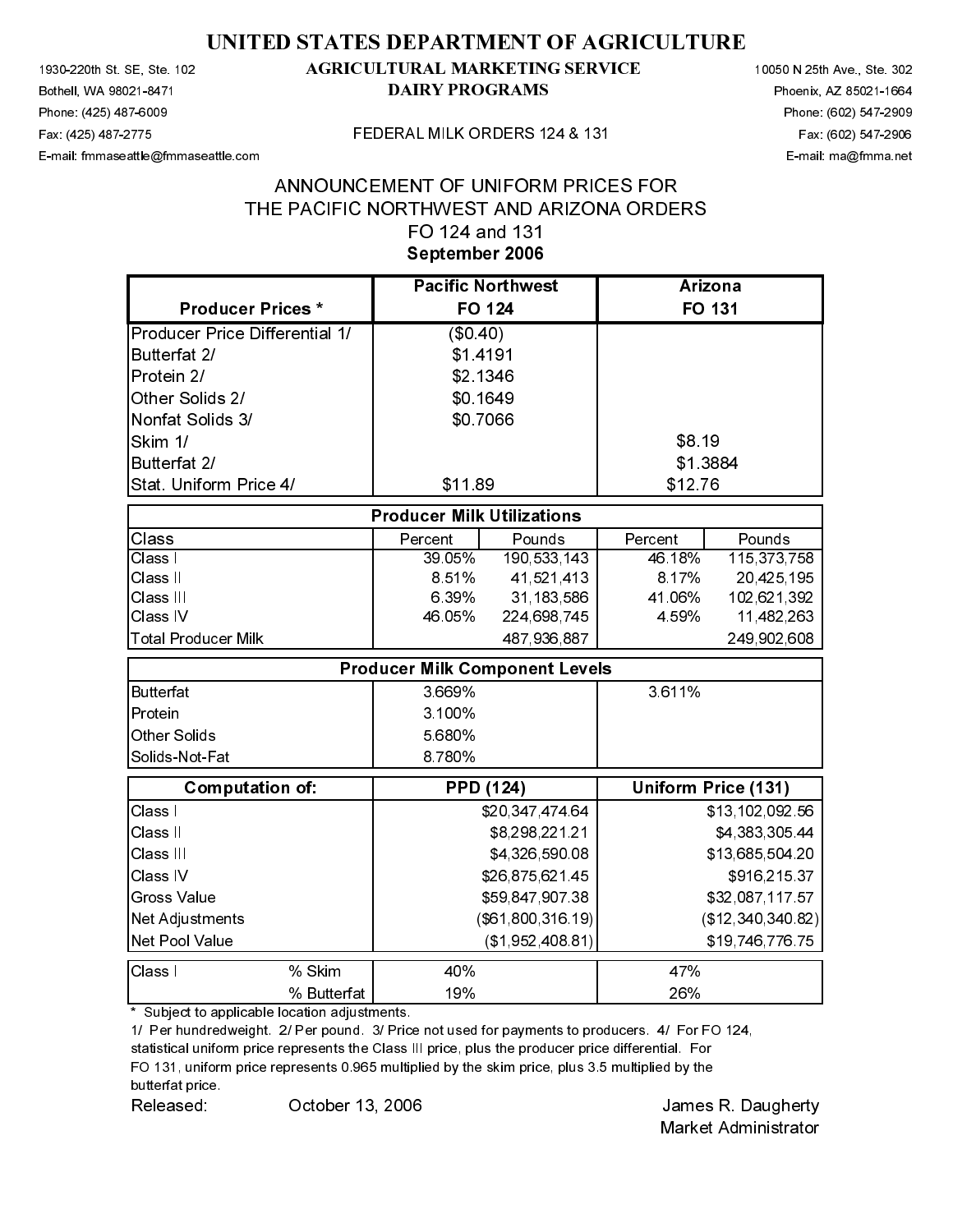# September 2006

| 1930-220th St. SE, Ste. 102<br>Bothell, WA 98021-8471     |                                   | <b>AGRICULTURAL MARKETING SERVICE</b><br><b>DAIRY PROGRAMS</b>                                  |                                                   | 10050 N 25th Ave., Ste. 302<br>Phoenix, AZ 85021-1664 |
|-----------------------------------------------------------|-----------------------------------|-------------------------------------------------------------------------------------------------|---------------------------------------------------|-------------------------------------------------------|
| Phone (425) 487-6009                                      |                                   |                                                                                                 |                                                   | Phone: (602) 547-2909                                 |
| Fax (425) 487-2775<br>E-mail: fmmaseattle@fmmaseattle.com |                                   | FEDERAL MILK ORDERS 124 & 131                                                                   |                                                   | Fax (602) 547-2906<br>E-mail: ma@fmma.net             |
|                                                           |                                   |                                                                                                 |                                                   |                                                       |
|                                                           |                                   | ANNOUNCEMENT OF UNIFORM PRICES FOR<br>THE PACIFIC NORTHWEST AND ARIZONA ORDERS                  |                                                   |                                                       |
|                                                           |                                   | FO 124 and 131                                                                                  |                                                   |                                                       |
|                                                           |                                   | September 2006                                                                                  |                                                   |                                                       |
|                                                           |                                   | <b>Pacific Northwest</b>                                                                        | Arizona                                           |                                                       |
|                                                           | <b>Producer Prices*</b>           | <b>FO 124</b>                                                                                   | <b>FO 131</b>                                     |                                                       |
|                                                           | Producer Price Differential 1/    | (\$0.40)                                                                                        |                                                   |                                                       |
| Butterfat 2/<br>Protein 2/                                |                                   | \$1 4191                                                                                        |                                                   |                                                       |
|                                                           | Other Solids 2/                   | \$2.1346<br>\$0 1649                                                                            |                                                   |                                                       |
|                                                           | Nonfat Solids 3/                  | \$0.7066                                                                                        |                                                   |                                                       |
| Skim 1/                                                   |                                   |                                                                                                 | \$8.19                                            |                                                       |
| Butterfat 2/                                              | Stat. Uniform Price 4/            | \$11.89                                                                                         | \$1.3884<br>\$1276                                |                                                       |
|                                                           |                                   |                                                                                                 |                                                   |                                                       |
|                                                           |                                   | <b>Producer Milk Utilizations</b>                                                               |                                                   |                                                       |
| Class<br>Class I                                          |                                   | Percent<br>Pounds<br>39.05%<br>190,533,143                                                      | Pounds<br>Percent<br>46.18%<br>115,373,758        |                                                       |
| Class II                                                  |                                   | 8.51%<br>41,521,413                                                                             | 8.17%<br>20,425,195                               |                                                       |
| Class III<br>Class IV                                     |                                   | 31, 183, 586<br>6.39%<br>46.05%<br>224,698,745                                                  | 41.06%<br>102,621,392<br>4 5 9 %<br>11,482,263    |                                                       |
|                                                           | <b>Total Producer Milk</b>        | 487,936,887                                                                                     | 249,902,608                                       |                                                       |
|                                                           |                                   | <b>Producer Milk Component Levels</b>                                                           |                                                   |                                                       |
| <b>Butterfat</b>                                          |                                   | 3 669%                                                                                          | 3.611%                                            |                                                       |
| Protein                                                   |                                   | 3 100%                                                                                          |                                                   |                                                       |
| Other Solids                                              |                                   | 5 680%                                                                                          |                                                   |                                                       |
|                                                           | Solids-Not-Fat                    | 8 7 8 0 %                                                                                       |                                                   |                                                       |
|                                                           | <b>Computation of:</b>            | <b>PPD (124)</b>                                                                                | Uniform Price (131)                               |                                                       |
| Class I<br>Class II                                       |                                   | \$20,347,474.64<br>\$8,298,221.21                                                               | \$13,102,092.56<br>\$4,383,305 44                 |                                                       |
| Class III                                                 |                                   | \$4,326,590.08                                                                                  | \$13,685,504.20                                   |                                                       |
| Class IV                                                  |                                   | \$26,875,621.45                                                                                 | \$916,215.37                                      |                                                       |
| <b>Gross Value</b>                                        |                                   | \$59,847,907.38                                                                                 | \$32,087,117.57                                   |                                                       |
|                                                           | Net Adjustments<br>Net Pool Value | (\$61,800,316.19)<br>(\$1,952,408,81)                                                           | (\$12,340,340.82)<br>\$19,746,776.75              |                                                       |
|                                                           | % Skim                            | 40%                                                                                             | 47%                                               |                                                       |
| Class I                                                   | % Butterfat                       | 19%                                                                                             | 26%                                               |                                                       |
| butterfat price<br>Released:                              | October 13, 2006                  | FO 131, uniform price represents 0.965 multiplied by the skim price, plus 3.5 multiplied by the | James R. Daugherty<br><b>Market Administrator</b> |                                                       |
|                                                           |                                   |                                                                                                 |                                                   |                                                       |
|                                                           |                                   |                                                                                                 |                                                   |                                                       |
|                                                           |                                   |                                                                                                 |                                                   |                                                       |
|                                                           |                                   |                                                                                                 |                                                   |                                                       |
|                                                           |                                   |                                                                                                 |                                                   |                                                       |
|                                                           |                                   |                                                                                                 |                                                   |                                                       |
|                                                           |                                   |                                                                                                 |                                                   |                                                       |
|                                                           |                                   |                                                                                                 |                                                   |                                                       |
|                                                           |                                   |                                                                                                 |                                                   |                                                       |
|                                                           |                                   |                                                                                                 |                                                   |                                                       |
|                                                           |                                   |                                                                                                 |                                                   |                                                       |
|                                                           |                                   |                                                                                                 |                                                   |                                                       |
|                                                           |                                   |                                                                                                 |                                                   |                                                       |
|                                                           |                                   |                                                                                                 |                                                   |                                                       |
|                                                           |                                   |                                                                                                 |                                                   |                                                       |
|                                                           |                                   |                                                                                                 |                                                   |                                                       |
|                                                           |                                   |                                                                                                 |                                                   |                                                       |
|                                                           |                                   |                                                                                                 |                                                   |                                                       |
|                                                           |                                   |                                                                                                 |                                                   |                                                       |
|                                                           |                                   |                                                                                                 |                                                   |                                                       |
|                                                           |                                   |                                                                                                 |                                                   |                                                       |
|                                                           |                                   |                                                                                                 |                                                   |                                                       |
|                                                           |                                   |                                                                                                 |                                                   |                                                       |
|                                                           |                                   |                                                                                                 |                                                   |                                                       |
|                                                           |                                   |                                                                                                 |                                                   |                                                       |
|                                                           |                                   |                                                                                                 |                                                   |                                                       |
|                                                           |                                   |                                                                                                 |                                                   |                                                       |
|                                                           |                                   |                                                                                                 |                                                   |                                                       |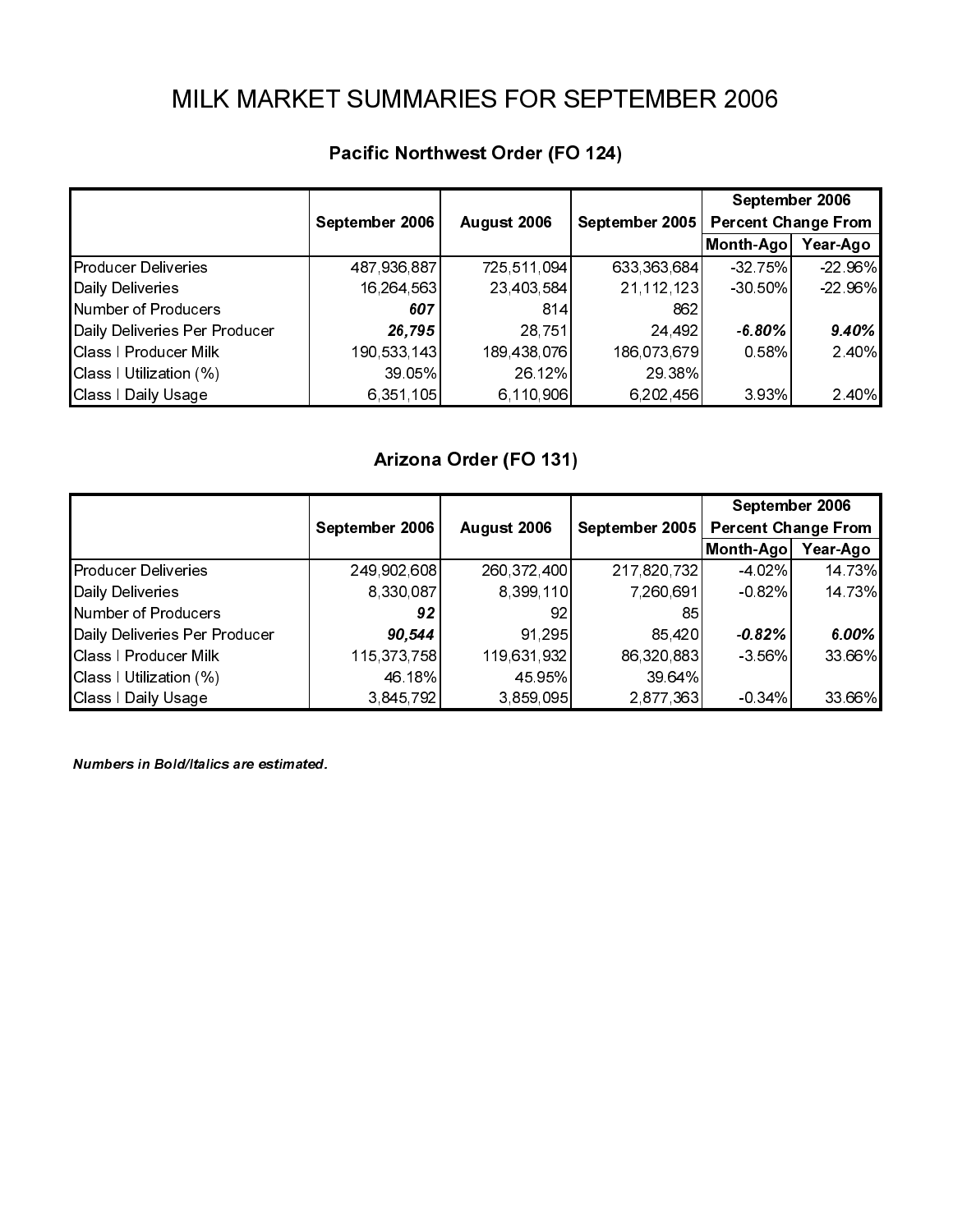|                                                        |                           |                           |                             |                              | September 2006                               |
|--------------------------------------------------------|---------------------------|---------------------------|-----------------------------|------------------------------|----------------------------------------------|
|                                                        | September 2006            | August 2006               | September 2005              | Month-Ago Year-Ago           | <b>Percent Change From</b>                   |
| <b>Producer Deliveries</b><br>Daily Deliveries         | 487,936,887<br>16,264,563 | 725,511,094<br>23,403,584 | 633,363,684<br>21, 112, 123 | -32 75%<br>-30 50%           | 22 96%<br>22 96%                             |
| Number of Producers<br>Daily Deliveries Per Producer   | 607<br>26,795             | 814<br>28,751             | 862<br>24,492               | $-6.80%$                     | 9.40%                                        |
| Class   Producer Milk<br>Class I Utilization (%)       | 190,533,143<br>39.05%     | 189,438,076<br>26 12%     | 186,073,679<br>29.38%       | 0.58%                        | 2.40%                                        |
| Class I Daily Usage                                    | 6,351,105                 | 6, 110, 906               | 6,202,456                   | 3 9 3%                       | 2 40%                                        |
|                                                        |                           | Arizona Order (FO 131)    |                             |                              |                                              |
|                                                        | September 2006            | August 2006               | September 2005              |                              | September 2006<br><b>Percent Change From</b> |
| Producer Deliveries                                    | 249,902,608               | 260, 372, 400             | 217,820,732                 | Month-Ago Year-Ago<br>-4 02% | 14 73%                                       |
| Daily Deliveries<br>Number of Producers                | 8,330,087<br>92           | 8,399,110<br>92           | 7,260,691<br>85             | $-0.82%$                     | 14 73%                                       |
| Daily Deliveries Per Producer<br>Class I Producer Milk | 90,544<br>115, 373, 758   | 91,295<br>119,631,932     | 85,420<br>86,320,883        | $-0.82%$<br>-3 56%           | $6.00\%$<br>33 66%                           |
| Class I Utilization (%)<br>Class I Daily Usage         | 46 18%<br>3,845,792       | 45 95%<br>3,859,095       | 39.64%<br>2,877,363         | $-0.34%$                     | 33.66%                                       |
|                                                        |                           |                           |                             |                              |                                              |
|                                                        |                           |                           |                             |                              |                                              |
|                                                        |                           |                           |                             |                              |                                              |
|                                                        |                           |                           |                             |                              |                                              |
|                                                        |                           |                           |                             |                              |                                              |
|                                                        |                           |                           |                             |                              |                                              |
|                                                        |                           |                           |                             |                              |                                              |
|                                                        |                           |                           |                             |                              |                                              |
|                                                        |                           |                           |                             |                              |                                              |
|                                                        |                           |                           |                             |                              |                                              |
|                                                        |                           |                           |                             |                              |                                              |
|                                                        |                           |                           |                             |                              |                                              |
|                                                        |                           |                           |                             |                              |                                              |
|                                                        |                           |                           |                             |                              |                                              |
|                                                        |                           |                           |                             |                              |                                              |
|                                                        |                           |                           |                             |                              |                                              |
|                                                        |                           |                           |                             |                              |                                              |
|                                                        |                           |                           |                             |                              |                                              |
|                                                        |                           |                           |                             |                              |                                              |
|                                                        |                           |                           |                             |                              |                                              |
|                                                        |                           |                           |                             |                              |                                              |
|                                                        |                           |                           |                             |                              |                                              |
|                                                        |                           |                           |                             |                              |                                              |
|                                                        |                           |                           |                             |                              |                                              |
|                                                        |                           |                           |                             |                              |                                              |
|                                                        |                           |                           |                             |                              |                                              |
|                                                        |                           |                           |                             |                              |                                              |
|                                                        |                           |                           |                             |                              |                                              |
|                                                        |                           |                           |                             |                              |                                              |
|                                                        |                           |                           |                             |                              |                                              |
|                                                        |                           |                           |                             |                              |                                              |
|                                                        |                           |                           |                             |                              |                                              |
|                                                        |                           |                           |                             |                              |                                              |
|                                                        |                           |                           |                             |                              |                                              |
|                                                        |                           |                           |                             |                              |                                              |
|                                                        |                           |                           |                             |                              |                                              |
|                                                        |                           |                           |                             |                              |                                              |
|                                                        |                           |                           |                             |                              |                                              |
|                                                        |                           |                           |                             |                              |                                              |
|                                                        |                           |                           |                             |                              |                                              |
|                                                        |                           |                           |                             |                              |                                              |
|                                                        |                           |                           |                             |                              |                                              |

| Daily Deliveries                                                                  | 16,264,563                         | 23,403,584                         | 21, 112, 123                       | $-30.50%$                                        | -22 96%          |
|-----------------------------------------------------------------------------------|------------------------------------|------------------------------------|------------------------------------|--------------------------------------------------|------------------|
| Number of Producers<br>Daily Deliveries Per Producer                              | 607<br>26,795                      | 814<br>28,751                      | 862<br>24,492                      | $-6.80\%$                                        | 9.40%            |
| Class I Producer Milk<br>Class   Utilization (%)<br>Class   Daily Usage           | 190,533,143<br>39.05%<br>6,351,105 | 189,438,076<br>26.12%<br>6,110,906 | 186,073,679<br>29 38%<br>6,202,456 | 0 58%<br>3.93%                                   | 2.40%<br>2.40%   |
|                                                                                   |                                    |                                    |                                    |                                                  |                  |
|                                                                                   |                                    | Arizona Order (FO 131)             |                                    | September 2006                                   |                  |
|                                                                                   | September 2006                     | August 2006                        | September 2005                     | <b>Percent Change From</b><br>Month-Ago Year-Ago |                  |
| Producer Deliveries<br>Daily Deliveries<br>Number of Producers                    | 249,902,608<br>8,330,087<br>$92\,$ | 260,372,400<br>8,399,110<br>92     | 217,820,732<br>7,260,691<br>85     | -4 02%<br>$-0.82%$                               | 14.73%<br>14.73% |
| Daily Deliveries Per Producer<br>Class I Producer Milk<br>Class I Utilization (%) | 90,544<br>115, 373, 758<br>46 18%  | 91,295<br>119,631,932<br>45 95%    | 85,420<br>86,320,883<br>39.64%     | $-0.82%$<br>$-3.56%$                             | 6.00%<br>33.66%  |
| Class   Daily Usage                                                               | 3,845,792                          | 3,859,095                          | 2,877,363                          | $-0.34%$                                         | 33.66%           |
| Numbers in Bold/Italics are estimated.                                            |                                    |                                    |                                    |                                                  |                  |
|                                                                                   |                                    |                                    |                                    |                                                  |                  |
|                                                                                   |                                    |                                    |                                    |                                                  |                  |
|                                                                                   |                                    |                                    |                                    |                                                  |                  |
|                                                                                   |                                    |                                    |                                    |                                                  |                  |
|                                                                                   |                                    |                                    |                                    |                                                  |                  |
|                                                                                   |                                    |                                    |                                    |                                                  |                  |
|                                                                                   |                                    |                                    |                                    |                                                  |                  |
|                                                                                   |                                    |                                    |                                    |                                                  |                  |
|                                                                                   |                                    |                                    |                                    |                                                  |                  |
|                                                                                   |                                    |                                    |                                    |                                                  |                  |
|                                                                                   |                                    |                                    |                                    |                                                  |                  |
|                                                                                   |                                    |                                    |                                    |                                                  |                  |
|                                                                                   |                                    |                                    |                                    |                                                  |                  |
|                                                                                   |                                    |                                    |                                    |                                                  |                  |
|                                                                                   |                                    |                                    |                                    |                                                  |                  |
|                                                                                   |                                    |                                    |                                    |                                                  |                  |
|                                                                                   |                                    |                                    |                                    |                                                  |                  |
|                                                                                   |                                    |                                    |                                    |                                                  |                  |
|                                                                                   |                                    |                                    |                                    |                                                  |                  |
|                                                                                   |                                    |                                    |                                    |                                                  |                  |
|                                                                                   |                                    |                                    |                                    |                                                  |                  |
|                                                                                   |                                    |                                    |                                    |                                                  |                  |
|                                                                                   |                                    |                                    |                                    |                                                  |                  |
|                                                                                   |                                    |                                    |                                    |                                                  |                  |
|                                                                                   |                                    |                                    |                                    |                                                  |                  |
|                                                                                   |                                    |                                    |                                    |                                                  |                  |
|                                                                                   |                                    |                                    |                                    |                                                  |                  |
|                                                                                   |                                    |                                    |                                    |                                                  |                  |
|                                                                                   |                                    |                                    |                                    |                                                  |                  |
|                                                                                   |                                    |                                    |                                    |                                                  |                  |
|                                                                                   |                                    |                                    |                                    |                                                  |                  |
|                                                                                   |                                    |                                    |                                    |                                                  |                  |
|                                                                                   |                                    |                                    |                                    |                                                  |                  |
|                                                                                   |                                    |                                    |                                    |                                                  |                  |
|                                                                                   |                                    |                                    |                                    |                                                  |                  |
|                                                                                   |                                    |                                    |                                    |                                                  |                  |
|                                                                                   |                                    |                                    |                                    |                                                  |                  |
|                                                                                   |                                    |                                    |                                    |                                                  |                  |
|                                                                                   |                                    |                                    |                                    |                                                  |                  |
|                                                                                   |                                    |                                    |                                    |                                                  |                  |
|                                                                                   |                                    |                                    |                                    |                                                  |                  |
|                                                                                   |                                    |                                    |                                    |                                                  |                  |
|                                                                                   |                                    |                                    |                                    |                                                  |                  |
|                                                                                   |                                    |                                    |                                    |                                                  |                  |
|                                                                                   |                                    |                                    |                                    |                                                  |                  |
|                                                                                   |                                    |                                    |                                    |                                                  |                  |
|                                                                                   |                                    |                                    |                                    |                                                  |                  |
|                                                                                   |                                    |                                    |                                    |                                                  |                  |
|                                                                                   |                                    |                                    |                                    |                                                  |                  |
|                                                                                   |                                    |                                    |                                    |                                                  |                  |
|                                                                                   |                                    |                                    |                                    |                                                  |                  |
|                                                                                   |                                    |                                    |                                    |                                                  |                  |
|                                                                                   |                                    |                                    |                                    |                                                  |                  |
|                                                                                   |                                    |                                    |                                    |                                                  |                  |
|                                                                                   |                                    |                                    |                                    |                                                  |                  |
|                                                                                   |                                    |                                    |                                    |                                                  |                  |
|                                                                                   |                                    |                                    |                                    |                                                  |                  |
|                                                                                   |                                    |                                    |                                    |                                                  |                  |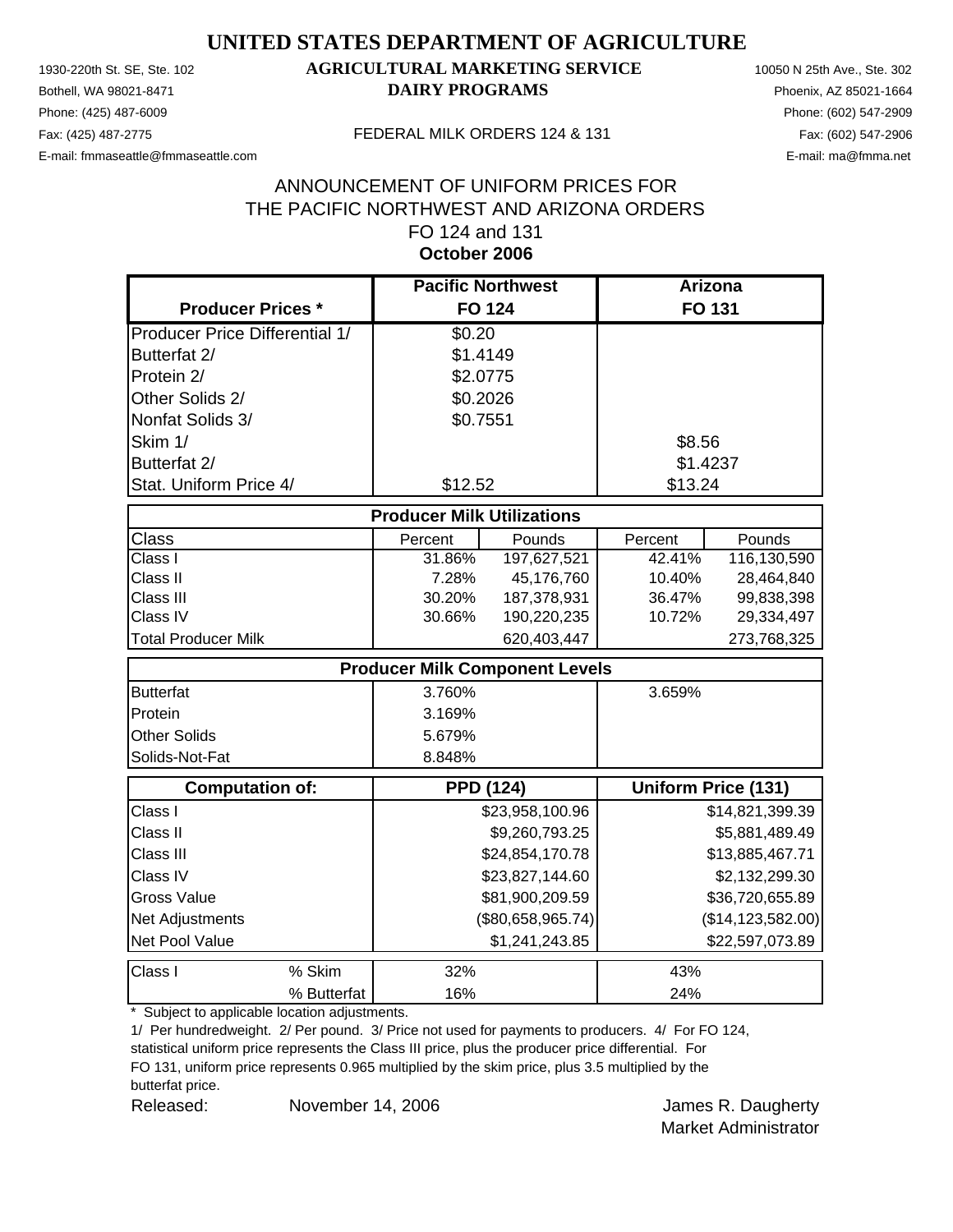Phone: (425) 487-6009 Phone: (602) 547-2909

#### 1930-220th St. SE, Ste. 102 **AGRICULTURAL MARKETING SERVICE** 10050 N 25th Ave., Ste. 302 Bothell, WA 98021-8471 **DAIRY PROGRAMS** Phoenix, AZ 85021-1664

E-mail: fmmaseattle@fmmaseattle.com E-mail: ma@fmma.net

#### Fax: (425) 487-2775 FEDERAL MILK ORDERS 124 & 131

#### ANNOUNCEMENT OF UNIFORM PRICES FOR THE PACIFIC NORTHWEST AND ARIZONA ORDERS FO 124 and 131 **October 2006**

|                                       | <b>Pacific Northwest</b>          |                                       | <b>Arizona</b> |                            |
|---------------------------------------|-----------------------------------|---------------------------------------|----------------|----------------------------|
| <b>Producer Prices *</b>              |                                   | <b>FO 124</b>                         |                | FO 131                     |
| <b>Producer Price Differential 1/</b> | \$0.20                            |                                       |                |                            |
| Butterfat 2/                          | \$1.4149                          |                                       |                |                            |
| Protein 2/                            | \$2.0775                          |                                       |                |                            |
| Other Solids 2/                       | \$0.2026                          |                                       |                |                            |
| Nonfat Solids 3/                      | \$0.7551                          |                                       |                |                            |
| Skim 1/                               |                                   |                                       | \$8.56         |                            |
| Butterfat 2/                          |                                   |                                       | \$1.4237       |                            |
| Stat. Uniform Price 4/                | \$12.52                           |                                       | \$13.24        |                            |
|                                       | <b>Producer Milk Utilizations</b> |                                       |                |                            |
| <b>Class</b>                          | Percent                           | Pounds                                | Percent        | Pounds                     |
| Class I                               | 31.86%                            | 197,627,521                           | 42.41%         | 116,130,590                |
| Class II                              | 7.28%                             | 45,176,760                            | 10.40%         | 28,464,840                 |
| Class III                             | 30.20%                            | 187,378,931                           | 36.47%         | 99,838,398                 |
| Class IV                              | 30.66%                            | 190,220,235                           | 10.72%         | 29,334,497                 |
| <b>Total Producer Milk</b>            |                                   | 620,403,447                           |                | 273,768,325                |
|                                       |                                   | <b>Producer Milk Component Levels</b> |                |                            |
| <b>Butterfat</b>                      | 3.760%                            |                                       | 3.659%         |                            |
| Protein                               | 3.169%                            |                                       |                |                            |
| <b>Other Solids</b>                   | 5.679%                            |                                       |                |                            |
| Solids-Not-Fat                        | 8.848%                            |                                       |                |                            |
| <b>Computation of:</b>                |                                   | <b>PPD (124)</b>                      |                | <b>Uniform Price (131)</b> |
| Class I                               |                                   | \$23,958,100.96                       |                | \$14,821,399.39            |
| Class II                              |                                   | \$9,260,793.25                        |                | \$5,881,489.49             |
| Class III                             |                                   | \$24,854,170.78                       |                | \$13,885,467.71            |
| Class IV                              |                                   | \$23,827,144.60                       |                | \$2,132,299.30             |
| <b>Gross Value</b>                    |                                   | \$81,900,209.59                       |                | \$36,720,655.89            |
| Net Adjustments                       |                                   | (\$80,658,965.74)                     |                | (\$14, 123, 582.00)        |
| Net Pool Value                        |                                   | \$1,241,243.85                        |                | \$22,597,073.89            |
| Class I<br>% Skim                     | 32%                               |                                       | 43%            |                            |
| % Butterfat                           | 16%                               |                                       | 24%            |                            |

\* Subject to applicable location adjustments.

1/ Per hundredweight. 2/ Per pound. 3/ Price not used for payments to producers. 4/ For FO 124,

statistical uniform price represents the Class III price, plus the producer price differential. For FO 131, uniform price represents 0.965 multiplied by the skim price, plus 3.5 multiplied by the

butterfat price.

Released: November 14, 2006 **In the U.S. States** States A. Daugherty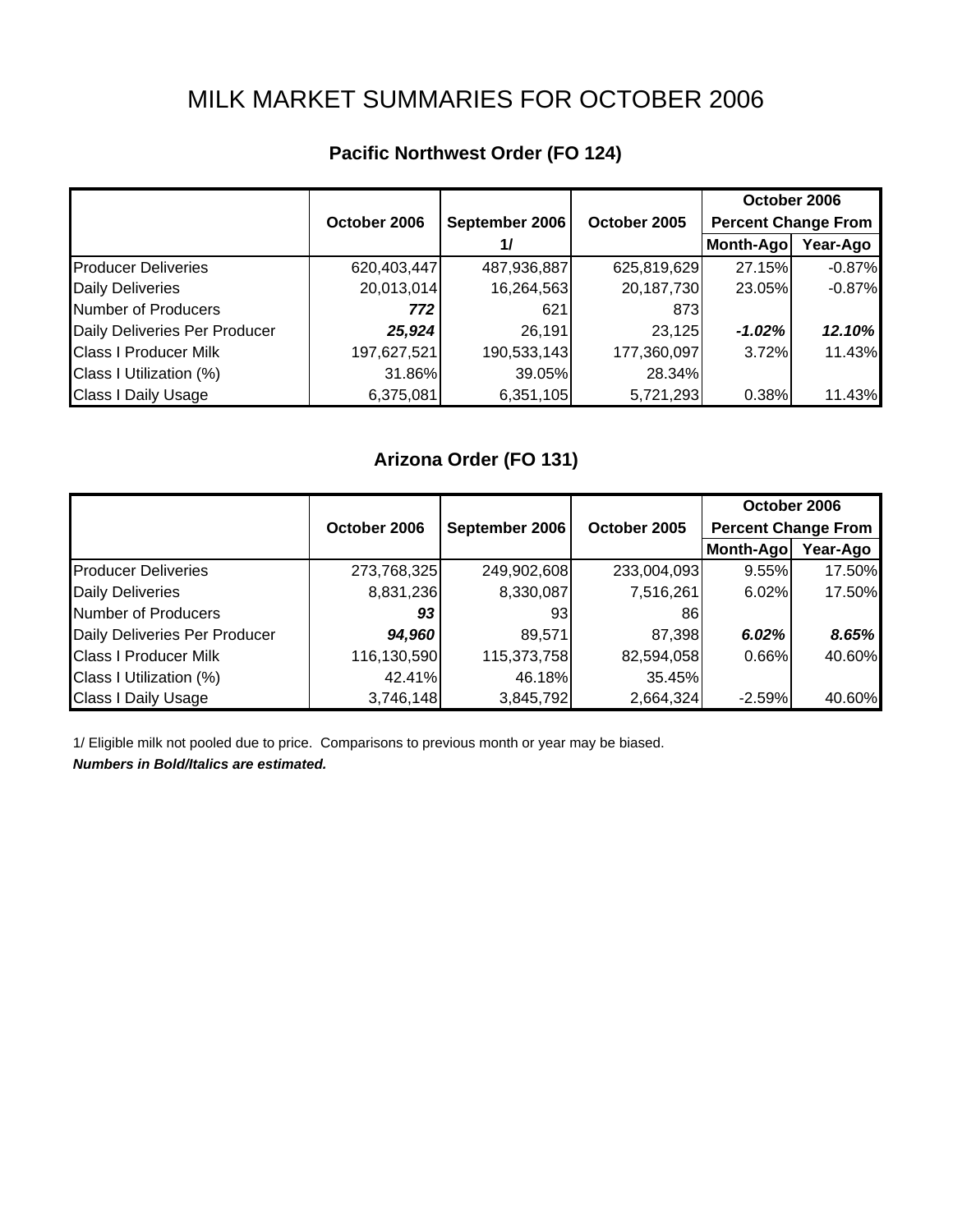# MILK MARKET SUMMARIES FOR OCTOBER 2006

|                               |              |                |              | October 2006               |          |
|-------------------------------|--------------|----------------|--------------|----------------------------|----------|
|                               | October 2006 | September 2006 | October 2005 | <b>Percent Change From</b> |          |
|                               |              | 1/             |              | Month-Ago                  | Year-Ago |
| <b>Producer Deliveries</b>    | 620,403,447  | 487,936,887    | 625,819,629  | 27.15%                     | $-0.87%$ |
| <b>Daily Deliveries</b>       | 20,013,014   | 16,264,563     | 20,187,730   | 23.05%                     | $-0.87%$ |
| Number of Producers           | 772          | 621            | 873          |                            |          |
| Daily Deliveries Per Producer | 25,924       | 26,191         | 23,125       | $-1.02%$                   | 12.10%   |
| <b>Class I Producer Milk</b>  | 197,627,521  | 190,533,143    | 177,360,097  | 3.72%                      | 11.43%   |
| Class I Utilization (%)       | 31.86%       | 39.05%         | 28.34%       |                            |          |
| <b>Class I Daily Usage</b>    | 6,375,081    | 6,351,105      | 5,721,293    | 0.38%                      | 11.43%   |

## **Pacific Northwest Order (FO 124)**

## **Arizona Order (FO 131)**

|                               |              |                |              | October 2006               |          |
|-------------------------------|--------------|----------------|--------------|----------------------------|----------|
|                               | October 2006 | September 2006 | October 2005 | <b>Percent Change From</b> |          |
|                               |              |                |              | Month-Ago                  | Year-Ago |
| <b>Producer Deliveries</b>    | 273,768,325  | 249,902,608    | 233,004,093  | 9.55%                      | 17.50%   |
| <b>Daily Deliveries</b>       | 8,831,236    | 8,330,087      | 7,516,261    | 6.02%                      | 17.50%   |
| Number of Producers           | 93           | 931            | 861          |                            |          |
| Daily Deliveries Per Producer | 94,960       | 89,571         | 87,398       | 6.02%                      | 8.65%    |
| <b>Class I Producer Milk</b>  | 116,130,590  | 115,373,758    | 82,594,058   | 0.66%                      | 40.60%   |
| Class I Utilization (%)       | 42.41%       | 46.18%         | 35.45%       |                            |          |
| <b>Class I Daily Usage</b>    | 3,746,148    | 3,845,792      | 2,664,324    | $-2.59%$                   | 40.60%   |

1/ Eligible milk not pooled due to price. Comparisons to previous month or year may be biased.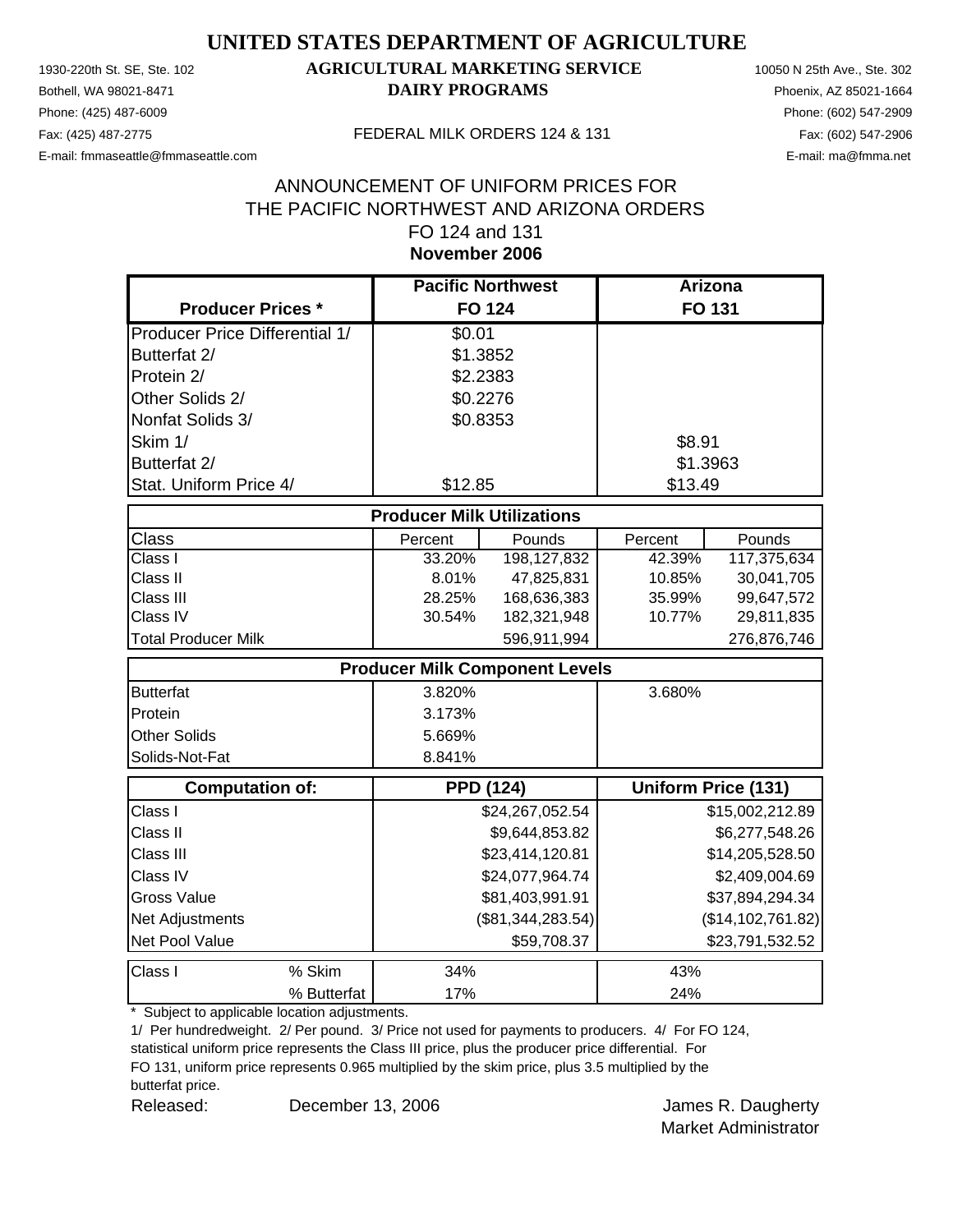Phone: (425) 487-6009 Phone: (602) 547-2909

#### 1930-220th St. SE, Ste. 102 **AGRICULTURAL MARKETING SERVICE** 10050 N 25th Ave., Ste. 302 Bothell, WA 98021-8471 **DAIRY PROGRAMS** Phoenix, AZ 85021-1664

E-mail: fmmaseattle@fmmaseattle.com E-mail: ma@fmma.net

#### Fax: (425) 487-2775 FEDERAL MILK ORDERS 124 & 131

#### **November 2006** ANNOUNCEMENT OF UNIFORM PRICES FOR THE PACIFIC NORTHWEST AND ARIZONA ORDERS FO 124 and 131

|                                       | <b>Pacific Northwest</b>              |                   | <b>Arizona</b> |                            |
|---------------------------------------|---------------------------------------|-------------------|----------------|----------------------------|
| <b>Producer Prices *</b>              |                                       | <b>FO 124</b>     |                | <b>FO 131</b>              |
| <b>Producer Price Differential 1/</b> | \$0.01                                |                   |                |                            |
| Butterfat 2/                          | \$1.3852                              |                   |                |                            |
| Protein 2/                            | \$2.2383                              |                   |                |                            |
| Other Solids 2/                       | \$0.2276                              |                   |                |                            |
| Nonfat Solids 3/                      | \$0.8353                              |                   |                |                            |
| Skim 1/                               |                                       |                   | \$8.91         |                            |
| Butterfat 2/                          |                                       |                   | \$1.3963       |                            |
| Stat. Uniform Price 4/                | \$12.85                               |                   | \$13.49        |                            |
|                                       | <b>Producer Milk Utilizations</b>     |                   |                |                            |
| Class                                 | Percent                               | Pounds            | Percent        | Pounds                     |
| Class I                               | 33.20%                                | 198, 127, 832     | 42.39%         | 117,375,634                |
| Class II                              | 8.01%                                 | 47,825,831        | 10.85%         | 30,041,705                 |
| Class III                             | 28.25%                                | 168,636,383       | 35.99%         | 99,647,572                 |
| Class IV                              | 30.54%                                | 182,321,948       | 10.77%         | 29,811,835                 |
| <b>Total Producer Milk</b>            |                                       | 596,911,994       |                | 276,876,746                |
|                                       | <b>Producer Milk Component Levels</b> |                   |                |                            |
| <b>Butterfat</b>                      | 3.820%                                |                   | 3.680%         |                            |
| Protein                               | 3.173%                                |                   |                |                            |
| <b>Other Solids</b>                   | 5.669%                                |                   |                |                            |
| Solids-Not-Fat                        | 8.841%                                |                   |                |                            |
| <b>Computation of:</b>                | <b>PPD (124)</b>                      |                   |                | <b>Uniform Price (131)</b> |
| Class I                               |                                       | \$24,267,052.54   |                | \$15,002,212.89            |
| Class II                              |                                       | \$9,644,853.82    |                | \$6,277,548.26             |
| Class III                             |                                       | \$23,414,120.81   |                | \$14,205,528.50            |
| Class IV                              |                                       | \$24,077,964.74   |                | \$2,409,004.69             |
| <b>Gross Value</b>                    |                                       | \$81,403,991.91   |                | \$37,894,294.34            |
| Net Adjustments                       |                                       | (\$81,344,283.54) |                | (\$14, 102, 761.82)        |
| Net Pool Value                        |                                       | \$59,708.37       |                | \$23,791,532.52            |
| Class I<br>% Skim                     | 34%                                   |                   | 43%            |                            |
| % Butterfat                           | 17%                                   |                   | 24%            |                            |

\* Subject to applicable location adjustments.

1/ Per hundredweight. 2/ Per pound. 3/ Price not used for payments to producers. 4/ For FO 124,

statistical uniform price represents the Class III price, plus the producer price differential. For FO 131, uniform price represents 0.965 multiplied by the skim price, plus 3.5 multiplied by the

butterfat price.

Released: December 13, 2006 Channel Band Manuel Band James R. Daugherty December 13, 2006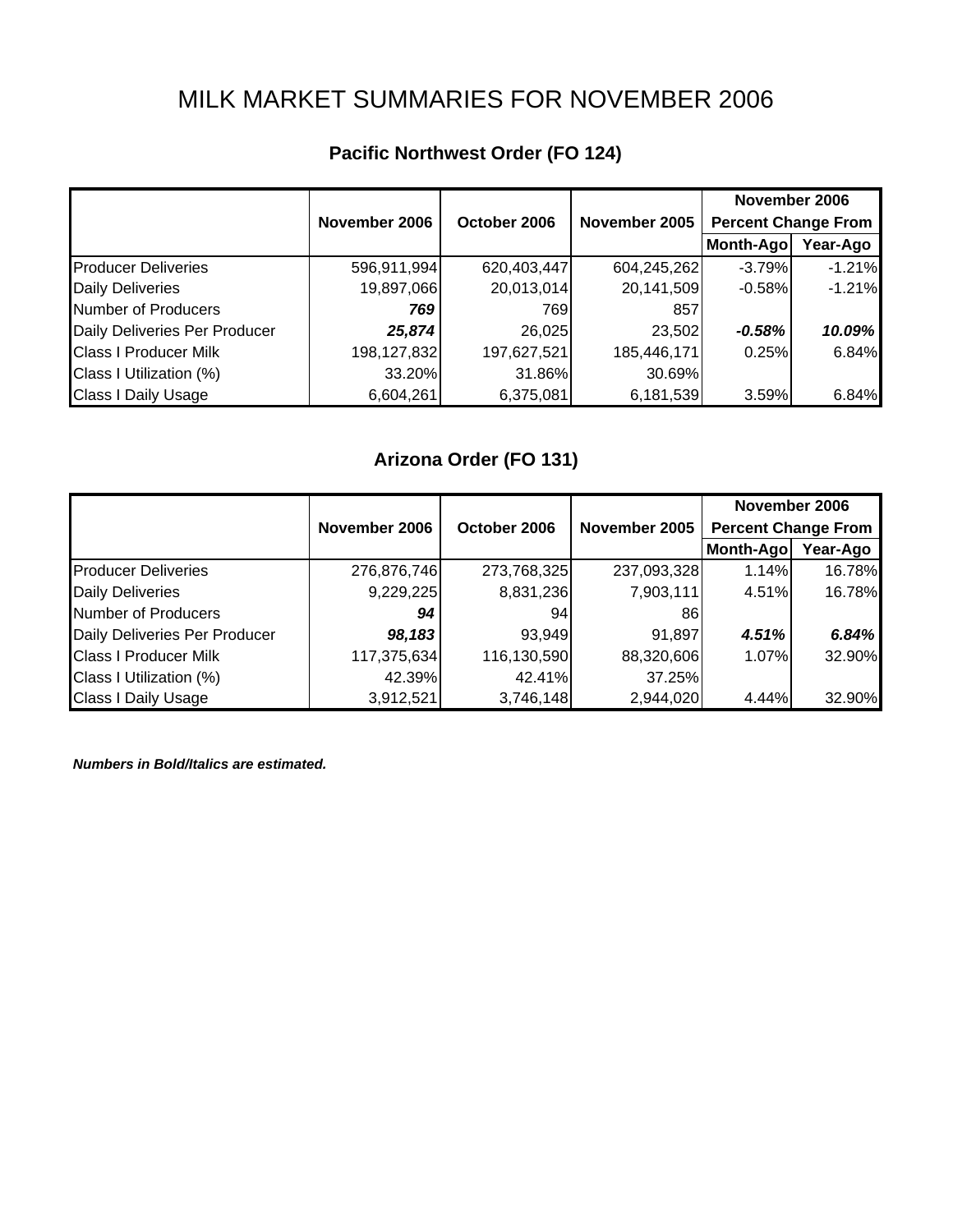# MILK MARKET SUMMARIES FOR NOVEMBER 2006

|                               |               |              |               | November 2006              |          |
|-------------------------------|---------------|--------------|---------------|----------------------------|----------|
|                               | November 2006 | October 2006 | November 2005 | <b>Percent Change From</b> |          |
|                               |               |              |               | Month-Ago                  | Year-Ago |
| <b>Producer Deliveries</b>    | 596,911,994   | 620,403,447  | 604,245,262   | $-3.79%$                   | $-1.21%$ |
| <b>Daily Deliveries</b>       | 19,897,066    | 20,013,014   | 20,141,509    | $-0.58%$                   | $-1.21%$ |
| Number of Producers           | 769           | 769          | 857           |                            |          |
| Daily Deliveries Per Producer | 25,874        | 26,025       | 23,502        | $-0.58%$                   | 10.09%   |
| <b>Class I Producer Milk</b>  | 198,127,832   | 197,627,521  | 185,446,171   | 0.25%                      | 6.84%    |
| Class I Utilization (%)       | 33.20%        | 31.86%       | 30.69%        |                            |          |
| Class I Daily Usage           | 6,604,261     | 6,375,081    | 6,181,539     | 3.59%                      | 6.84%    |

## **Pacific Northwest Order (FO 124)**

## **Arizona Order (FO 131)**

|                               |               |              |               | November 2006              |          |
|-------------------------------|---------------|--------------|---------------|----------------------------|----------|
|                               | November 2006 | October 2006 | November 2005 | <b>Percent Change From</b> |          |
|                               |               |              |               | Month-Ago                  | Year-Ago |
| <b>Producer Deliveries</b>    | 276,876,746   | 273,768,325  | 237,093,328   | 1.14%                      | 16.78%   |
| <b>Daily Deliveries</b>       | 9,229,225     | 8,831,236    | 7,903,111     | 4.51%                      | 16.78%   |
| Number of Producers           | 94            | 94           | 861           |                            |          |
| Daily Deliveries Per Producer | 98,183        | 93,949       | 91,897        | 4.51%                      | 6.84%    |
| <b>Class I Producer Milk</b>  | 117,375,634   | 116,130,590  | 88,320,606    | 1.07%                      | 32.90%   |
| Class I Utilization (%)       | 42.39%        | 42.41%       | 37.25%        |                            |          |
| <b>Class I Daily Usage</b>    | 3,912,521     | 3,746,148    | 2,944,020     | 4.44%                      | 32.90%   |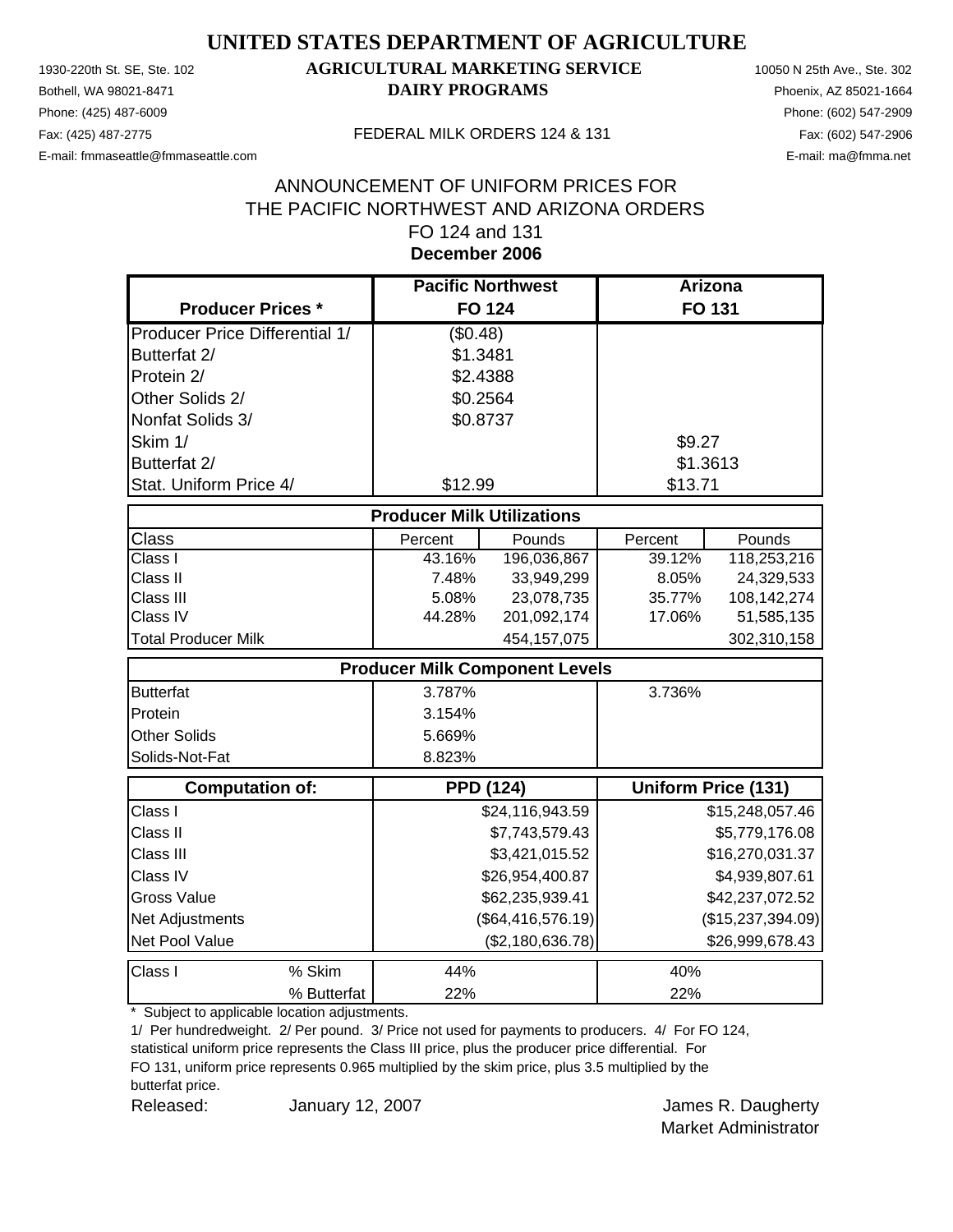Phone: (425) 487-6009 Phone: (602) 547-2909

#### 1930-220th St. SE, Ste. 102 **AGRICULTURAL MARKETING SERVICE** 10050 N 25th Ave., Ste. 302 Bothell, WA 98021-8471 **DAIRY PROGRAMS** Phoenix, AZ 85021-1664

E-mail: fmmaseattle@fmmaseattle.com E-mail: ma@fmma.net

#### Fax: (425) 487-2775 FEDERAL MILK ORDERS 124 & 131

#### **December 2006** ANNOUNCEMENT OF UNIFORM PRICES FOR THE PACIFIC NORTHWEST AND ARIZONA ORDERS FO 124 and 131

|                                       | <b>Pacific Northwest</b>              |                   | Arizona  |                            |
|---------------------------------------|---------------------------------------|-------------------|----------|----------------------------|
| <b>Producer Prices *</b>              |                                       | <b>FO 124</b>     |          | FO 131                     |
| <b>Producer Price Differential 1/</b> | (\$0.48)                              |                   |          |                            |
| Butterfat 2/                          | \$1.3481                              |                   |          |                            |
| Protein 2/                            | \$2.4388                              |                   |          |                            |
| Other Solids 2/                       | \$0.2564                              |                   |          |                            |
| Nonfat Solids 3/                      | \$0.8737                              |                   |          |                            |
| Skim 1/                               |                                       |                   | \$9.27   |                            |
| Butterfat 2/                          |                                       |                   | \$1.3613 |                            |
| Stat. Uniform Price 4/                | \$12.99                               |                   | \$13.71  |                            |
|                                       | <b>Producer Milk Utilizations</b>     |                   |          |                            |
| <b>Class</b>                          | Percent                               | Pounds            | Percent  | Pounds                     |
| Class I                               | 43.16%                                | 196,036,867       | 39.12%   | 118,253,216                |
| Class II                              | 7.48%                                 | 33,949,299        | 8.05%    | 24,329,533                 |
| Class III                             | 5.08%                                 | 23,078,735        | 35.77%   | 108,142,274                |
| Class IV                              | 44.28%                                | 201,092,174       | 17.06%   | 51,585,135                 |
| <b>Total Producer Milk</b>            |                                       | 454, 157, 075     |          | 302,310,158                |
|                                       | <b>Producer Milk Component Levels</b> |                   |          |                            |
| <b>Butterfat</b>                      | 3.787%                                |                   | 3.736%   |                            |
| Protein                               | 3.154%                                |                   |          |                            |
| <b>Other Solids</b>                   | 5.669%                                |                   |          |                            |
| Solids-Not-Fat                        | 8.823%                                |                   |          |                            |
| <b>Computation of:</b>                | <b>PPD (124)</b>                      |                   |          | <b>Uniform Price (131)</b> |
| Class I                               |                                       | \$24,116,943.59   |          | \$15,248,057.46            |
| Class II                              |                                       | \$7,743,579.43    |          | \$5,779,176.08             |
| Class III                             |                                       | \$3,421,015.52    |          | \$16,270,031.37            |
| Class IV                              |                                       | \$26,954,400.87   |          | \$4,939,807.61             |
| <b>Gross Value</b>                    |                                       | \$62,235,939.41   |          | \$42,237,072.52            |
| Net Adjustments                       |                                       | (\$64,416,576.19) |          | (\$15,237,394.09)          |
| Net Pool Value                        |                                       | (\$2,180,636.78)  |          | \$26,999,678.43            |
| Class I<br>% Skim                     | 44%                                   |                   | 40%      |                            |
| % Butterfat                           | 22%                                   |                   | 22%      |                            |

\* Subject to applicable location adjustments.

1/ Per hundredweight. 2/ Per pound. 3/ Price not used for payments to producers. 4/ For FO 124,

statistical uniform price represents the Class III price, plus the producer price differential. For FO 131, uniform price represents 0.965 multiplied by the skim price, plus 3.5 multiplied by the butterfat price.

Released: **January 12, 2007 Container and Separate Set Exercise A** Daugherty January 12, 2007